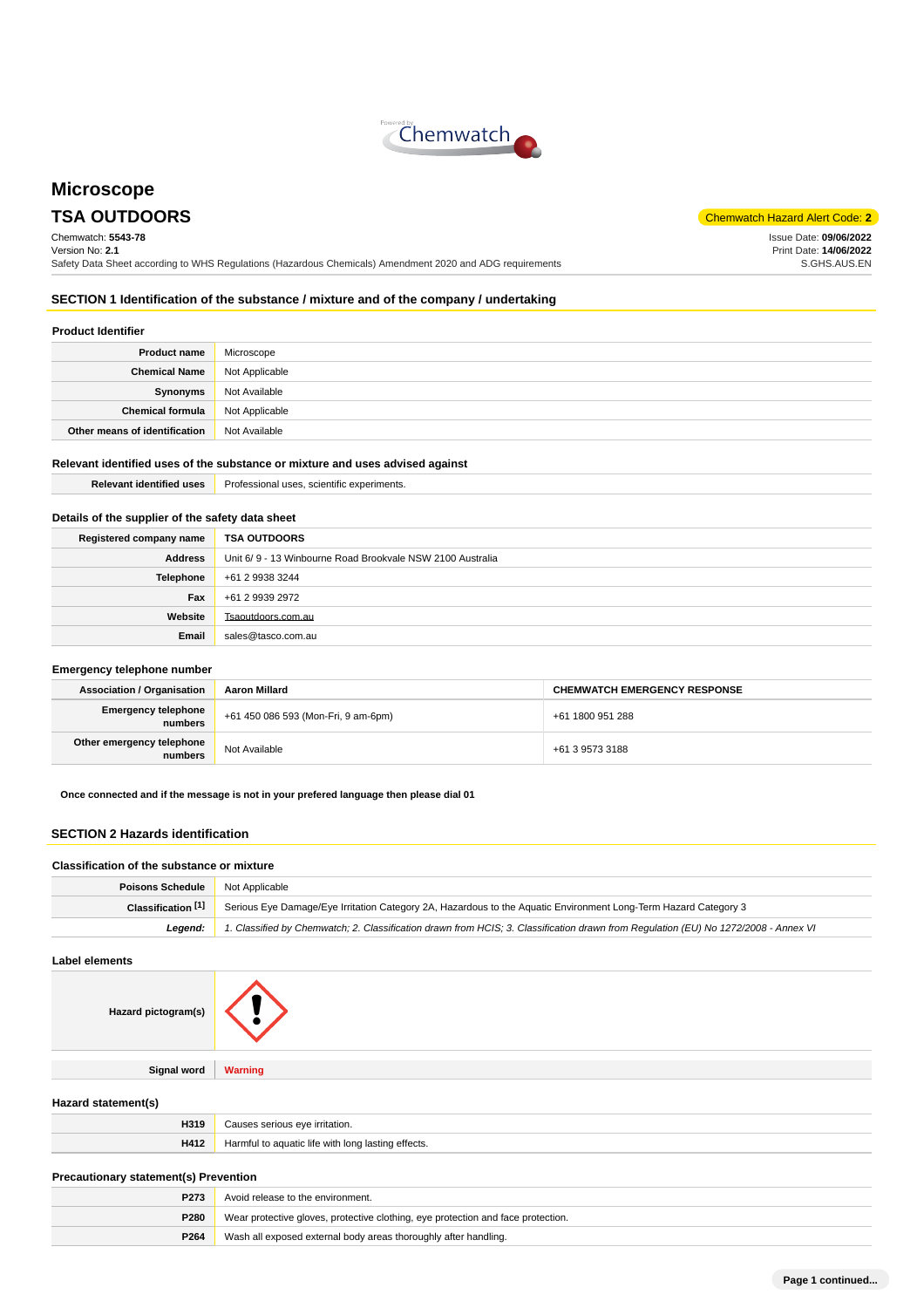

# **Microscope**

Chemwatch: **5543-78** Version No: **2.1** Safety Data Sheet according to WHS Regulations (Hazardous Chemicals) Amendment 2020 and ADG requirements

**TSA OUTDOORS** Chemwatch Hazard Alert Code: **2** 

Issue Date: **09/06/2022** Print Date: **14/06/2022** S.GHS.AUS.EN

# **SECTION 1 Identification of the substance / mixture and of the company / undertaking**

### **Product Identifier**

| <b>Product name</b>           | Microscope     |
|-------------------------------|----------------|
| <b>Chemical Name</b>          | Not Applicable |
| Synonyms                      | Not Available  |
| <b>Chemical formula</b>       | Not Applicable |
| Other means of identification | Not Available  |

# **Relevant identified uses of the substance or mixture and uses advised against**

**Relevant identified uses Professional uses, scientific experiments.** 

# **Details of the supplier of the safety data sheet**

| Registered company name | <b>TSA OUTDOORS</b>                                       |  |
|-------------------------|-----------------------------------------------------------|--|
| <b>Address</b>          | Unit 6/9 - 13 Winbourne Road Brookvale NSW 2100 Australia |  |
| <b>Telephone</b>        | +61 2 9938 3244                                           |  |
| Fax                     | +61 2 9939 2972                                           |  |
| Website                 | Tsaoutdoors.com.au                                        |  |
| Email                   | sales@tasco.com.au                                        |  |

#### **Emergency telephone number**

| <b>Association / Organisation</b>    | Aaron Millard                       | <b>CHEMWATCH EMERGENCY RESPONSE</b> |
|--------------------------------------|-------------------------------------|-------------------------------------|
| Emergency telephone<br>numbers       | +61 450 086 593 (Mon-Fri, 9 am-6pm) | +61 1800 951 288                    |
| Other emergency telephone<br>numbers | Not Available                       | +61 3 9573 3188                     |

**Once connected and if the message is not in your prefered language then please dial 01**

### **SECTION 2 Hazards identification**

#### **Classification of the substance or mixture**

| <b>Poisons Schedule</b> | Not Applicable                                                                                                                      |  |
|-------------------------|-------------------------------------------------------------------------------------------------------------------------------------|--|
| Classification [1]      | Serious Eye Damage/Eye Irritation Category 2A, Hazardous to the Aquatic Environment Long-Term Hazard Category 3                     |  |
| Leaend:                 | 1. Classified by Chemwatch; 2. Classification drawn from HCIS; 3. Classification drawn from Requlation (EU) No 1272/2008 - Annex VI |  |

#### **Label elements**

| <b>Warning</b> |
|----------------|
|                |

### **Hazard statement(s)**

| H319 | Causes serious eve irritation.                     |
|------|----------------------------------------------------|
| H412 | Harmful to aquatic life with long lasting effects. |

#### **Precautionary statement(s) Prevention**

| P <sub>273</sub> | Avoid release to the environment.                                                |  |
|------------------|----------------------------------------------------------------------------------|--|
| P280             | Wear protective gloves, protective clothing, eye protection and face protection. |  |
| P264             | Wash all exposed external body areas thoroughly after handling.                  |  |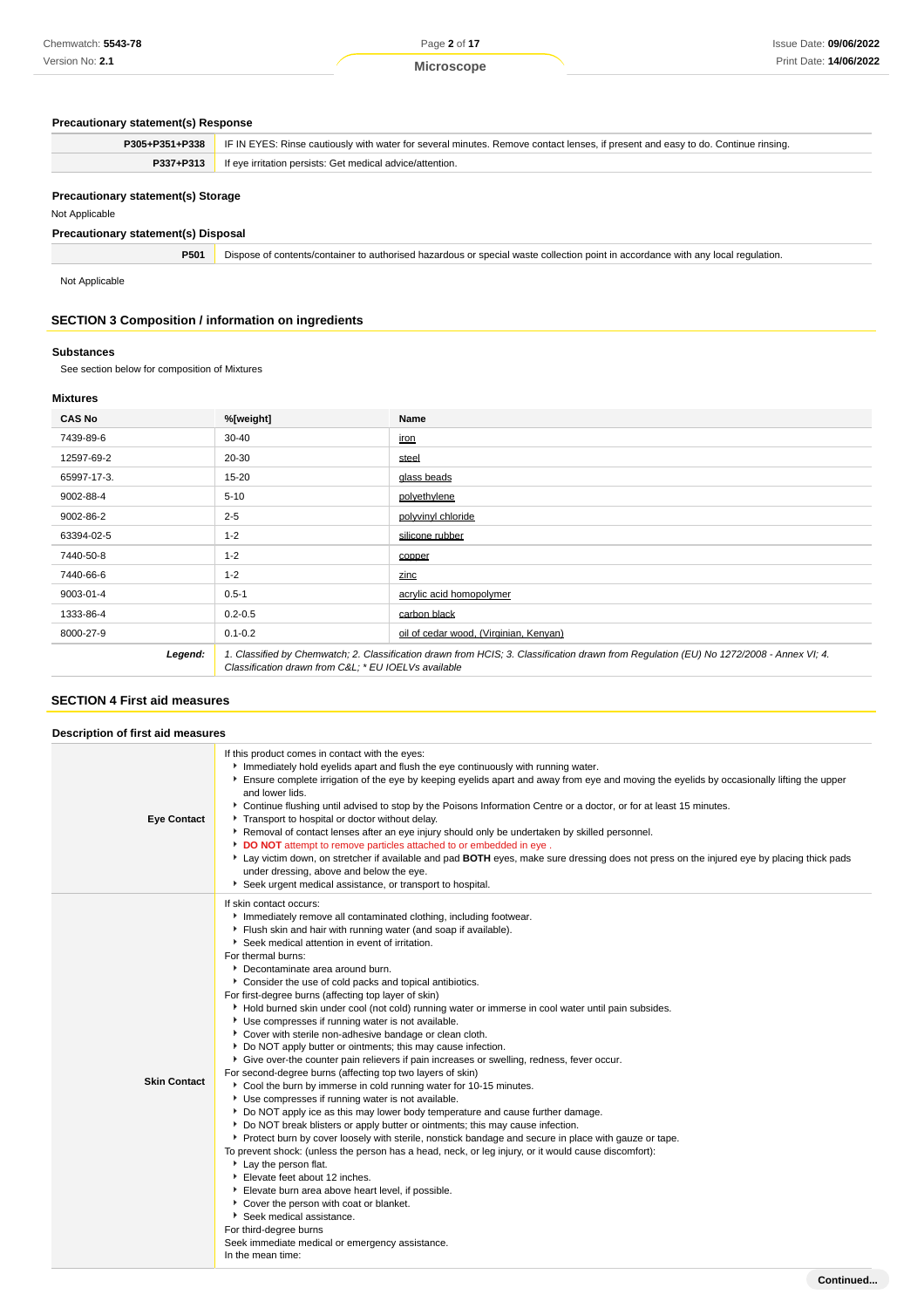# **Precautionary statement(s) Response**

| Precautionary statement(s) Response                       |                                                                                                                                  |  |  |
|-----------------------------------------------------------|----------------------------------------------------------------------------------------------------------------------------------|--|--|
| P305+P351+P338                                            | IF IN EYES: Rinse cautiously with water for several minutes. Remove contact lenses, if present and easy to do. Continue rinsing. |  |  |
| P337+P313                                                 | If eye irritation persists: Get medical advice/attention.                                                                        |  |  |
| Precautionary statement(s) Storage<br>Not Applicable      |                                                                                                                                  |  |  |
| <b>Precautionary statement(s) Disposal</b>                |                                                                                                                                  |  |  |
| P501                                                      | Dispose of contents/container to authorised hazardous or special waste collection point in accordance with any local regulation. |  |  |
| Not Applicable                                            |                                                                                                                                  |  |  |
| <b>SECTION 3 Composition / information on ingredients</b> |                                                                                                                                  |  |  |
|                                                           |                                                                                                                                  |  |  |

# **Substances**

See section below for composition of Mixtures

# **Mixtures**

| <b>CAS No</b> | %[weight]                                                                                                                                                                                      | Name                                   |
|---------------|------------------------------------------------------------------------------------------------------------------------------------------------------------------------------------------------|----------------------------------------|
| 7439-89-6     | $30 - 40$                                                                                                                                                                                      | <u>iron</u>                            |
| 12597-69-2    | 20-30                                                                                                                                                                                          | steel                                  |
| 65997-17-3.   | 15-20                                                                                                                                                                                          | glass beads                            |
| 9002-88-4     | $5 - 10$                                                                                                                                                                                       | polyethylene                           |
| 9002-86-2     | $2 - 5$                                                                                                                                                                                        | polyvinyl chloride                     |
| 63394-02-5    | $1 - 2$                                                                                                                                                                                        | silicone rubber                        |
| 7440-50-8     | $1 - 2$                                                                                                                                                                                        | copper                                 |
| 7440-66-6     | $1 - 2$                                                                                                                                                                                        | zinc                                   |
| 9003-01-4     | $0.5 - 1$                                                                                                                                                                                      | acrylic acid homopolymer               |
| 1333-86-4     | $0.2 - 0.5$                                                                                                                                                                                    | carbon black                           |
| 8000-27-9     | $0.1 - 0.2$                                                                                                                                                                                    | oil of cedar wood. (Virginian, Kenvan) |
| Legend:       | 1. Classified by Chemwatch; 2. Classification drawn from HCIS; 3. Classification drawn from Requlation (EU) No 1272/2008 - Annex VI; 4.<br>Classification drawn from C&L * EU IOELVs available |                                        |

### **SECTION 4 First aid measures**

|                     | Description of first aid measures                                                                                                                                                                                                                                                                                                                                                                                                                                                                                                                                                                                                                                                                                                                                                                                                                                                                                                                                                                                                                                                                                                                                                                                                                                                                                                                                                                                                                                                                                                                                                                                                                     |  |  |
|---------------------|-------------------------------------------------------------------------------------------------------------------------------------------------------------------------------------------------------------------------------------------------------------------------------------------------------------------------------------------------------------------------------------------------------------------------------------------------------------------------------------------------------------------------------------------------------------------------------------------------------------------------------------------------------------------------------------------------------------------------------------------------------------------------------------------------------------------------------------------------------------------------------------------------------------------------------------------------------------------------------------------------------------------------------------------------------------------------------------------------------------------------------------------------------------------------------------------------------------------------------------------------------------------------------------------------------------------------------------------------------------------------------------------------------------------------------------------------------------------------------------------------------------------------------------------------------------------------------------------------------------------------------------------------------|--|--|
| <b>Eye Contact</b>  | If this product comes in contact with the eyes:<br>Immediately hold eyelids apart and flush the eye continuously with running water.<br>Ensure complete irrigation of the eye by keeping eyelids apart and away from eye and moving the eyelids by occasionally lifting the upper<br>and lower lids.<br>▶ Continue flushing until advised to stop by the Poisons Information Centre or a doctor, or for at least 15 minutes.<br>Transport to hospital or doctor without delay.<br>Removal of contact lenses after an eye injury should only be undertaken by skilled personnel.<br>DO NOT attempt to remove particles attached to or embedded in eye.<br>Lay victim down, on stretcher if available and pad BOTH eyes, make sure dressing does not press on the injured eye by placing thick pads<br>under dressing, above and below the eye.<br>Seek urgent medical assistance, or transport to hospital.                                                                                                                                                                                                                                                                                                                                                                                                                                                                                                                                                                                                                                                                                                                                            |  |  |
| <b>Skin Contact</b> | If skin contact occurs:<br>Immediately remove all contaminated clothing, including footwear.<br>Flush skin and hair with running water (and soap if available).<br>Seek medical attention in event of irritation.<br>For thermal burns:<br>Decontaminate area around burn.<br>Consider the use of cold packs and topical antibiotics.<br>For first-degree burns (affecting top layer of skin)<br>Hold burned skin under cool (not cold) running water or immerse in cool water until pain subsides.<br>Use compresses if running water is not available.<br>Cover with sterile non-adhesive bandage or clean cloth.<br>• Do NOT apply butter or ointments; this may cause infection.<br>Give over-the counter pain relievers if pain increases or swelling, redness, fever occur.<br>For second-degree burns (affecting top two layers of skin)<br>Cool the burn by immerse in cold running water for 10-15 minutes.<br>Use compresses if running water is not available.<br>Do NOT apply ice as this may lower body temperature and cause further damage.<br>• Do NOT break blisters or apply butter or ointments; this may cause infection.<br>▶ Protect burn by cover loosely with sterile, nonstick bandage and secure in place with gauze or tape.<br>To prevent shock: (unless the person has a head, neck, or leg injury, or it would cause discomfort):<br>Lay the person flat.<br>Elevate feet about 12 inches.<br>Elevate burn area above heart level, if possible.<br>Cover the person with coat or blanket.<br>Seek medical assistance.<br>For third-degree burns<br>Seek immediate medical or emergency assistance.<br>In the mean time: |  |  |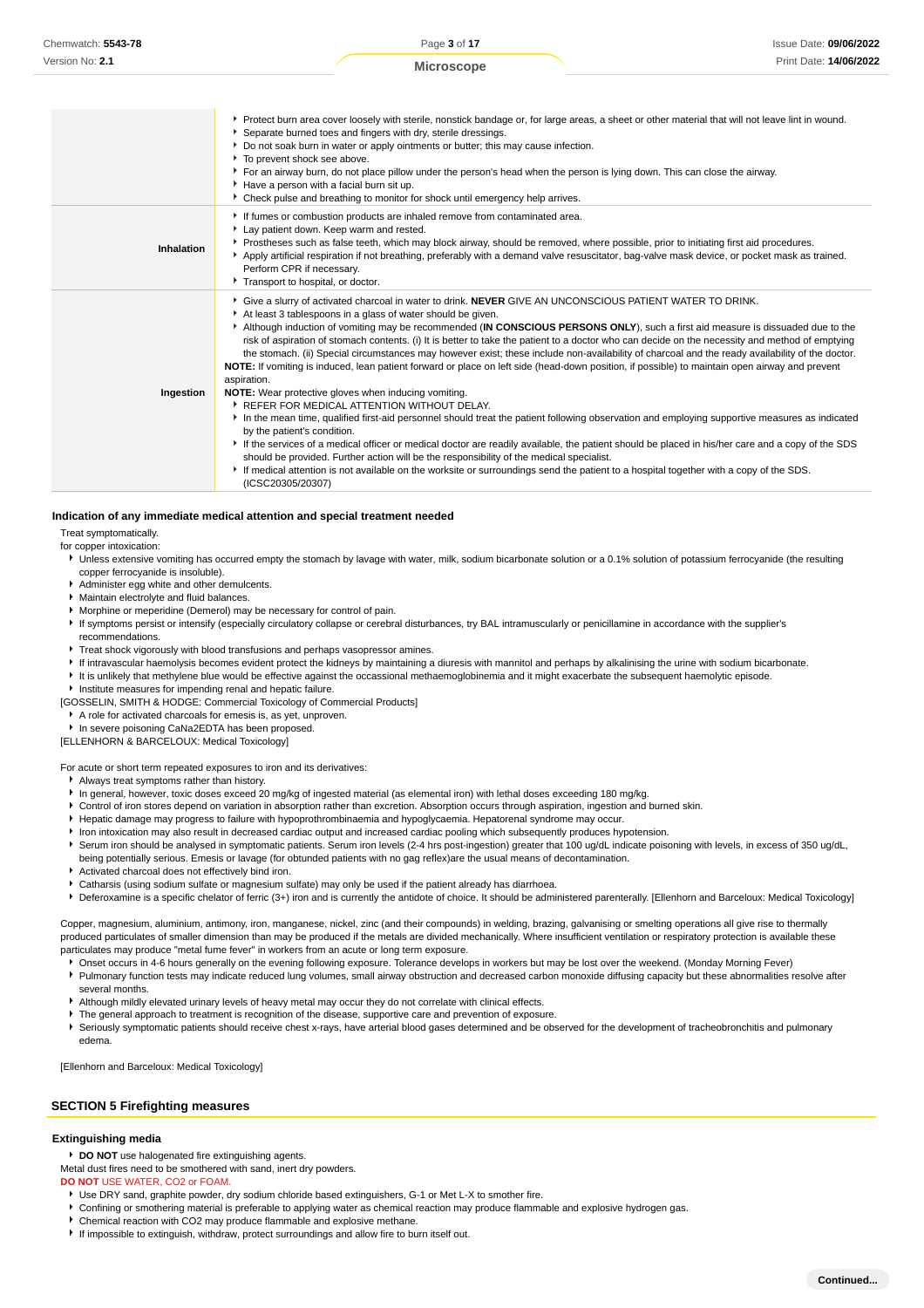|            | ▶ Protect burn area cover loosely with sterile, nonstick bandage or, for large areas, a sheet or other material that will not leave lint in wound.<br>Separate burned toes and fingers with dry, sterile dressings.<br>▶ Do not soak burn in water or apply ointments or butter; this may cause infection.<br>To prevent shock see above.<br>▶ For an airway burn, do not place pillow under the person's head when the person is lying down. This can close the airway.<br>Have a person with a facial burn sit up.<br>▶ Check pulse and breathing to monitor for shock until emergency help arrives.                                                                                                                                                                                                                                                                                                                                                                                                                                                                                                                                                                                                                                                                                                                                                                                                                                                                                  |
|------------|-----------------------------------------------------------------------------------------------------------------------------------------------------------------------------------------------------------------------------------------------------------------------------------------------------------------------------------------------------------------------------------------------------------------------------------------------------------------------------------------------------------------------------------------------------------------------------------------------------------------------------------------------------------------------------------------------------------------------------------------------------------------------------------------------------------------------------------------------------------------------------------------------------------------------------------------------------------------------------------------------------------------------------------------------------------------------------------------------------------------------------------------------------------------------------------------------------------------------------------------------------------------------------------------------------------------------------------------------------------------------------------------------------------------------------------------------------------------------------------------|
| Inhalation | If fumes or combustion products are inhaled remove from contaminated area.<br>Lay patient down. Keep warm and rested.<br>▶ Prostheses such as false teeth, which may block airway, should be removed, where possible, prior to initiating first aid procedures.<br>Apply artificial respiration if not breathing, preferably with a demand valve resuscitator, bag-valve mask device, or pocket mask as trained.<br>Perform CPR if necessary.<br>Transport to hospital, or doctor.                                                                                                                                                                                                                                                                                                                                                                                                                                                                                                                                                                                                                                                                                                                                                                                                                                                                                                                                                                                                      |
| Ingestion  | Give a slurry of activated charcoal in water to drink. NEVER GIVE AN UNCONSCIOUS PATIENT WATER TO DRINK.<br>At least 3 tablespoons in a glass of water should be given.<br>Although induction of vomiting may be recommended (IN CONSCIOUS PERSONS ONLY), such a first aid measure is dissuaded due to the<br>risk of aspiration of stomach contents. (i) It is better to take the patient to a doctor who can decide on the necessity and method of emptying<br>the stomach. (ii) Special circumstances may however exist; these include non-availability of charcoal and the ready availability of the doctor.<br>NOTE: If vomiting is induced, lean patient forward or place on left side (head-down position, if possible) to maintain open airway and prevent<br>aspiration.<br>NOTE: Wear protective gloves when inducing vomiting.<br>▶ REFER FOR MEDICAL ATTENTION WITHOUT DELAY.<br>In the mean time, qualified first-aid personnel should treat the patient following observation and employing supportive measures as indicated<br>by the patient's condition.<br>If the services of a medical officer or medical doctor are readily available, the patient should be placed in his/her care and a copy of the SDS<br>should be provided. Further action will be the responsibility of the medical specialist.<br>If medical attention is not available on the worksite or surroundings send the patient to a hospital together with a copy of the SDS.<br>(ICSC20305/20307) |

#### **Indication of any immediate medical attention and special treatment needed**

Treat symptomatically.

for copper intoxication:

- ▶ Unless extensive vomiting has occurred empty the stomach by lavage with water, milk, sodium bicarbonate solution or a 0.1% solution of potassium ferrocyanide (the resulting copper ferrocyanide is insoluble).
- Administer egg white and other demulcents.
- Maintain electrolyte and fluid balances.
- Morphine or meperidine (Demerol) may be necessary for control of pain.
- If symptoms persist or intensify (especially circulatory collapse or cerebral disturbances, try BAL intramuscularly or penicillamine in accordance with the supplier's
- recommendations. Treat shock vigorously with blood transfusions and perhaps vasopressor amines.
- If intravascular haemolysis becomes evident protect the kidneys by maintaining a diuresis with mannitol and perhaps by alkalinising the urine with sodium bicarbonate.
- It is unlikely that methylene blue would be effective against the occassional methaemoglobinemia and it might exacerbate the subsequent haemolytic episode.
- **Institute measures for impending renal and hepatic failure.**
- [GOSSELIN, SMITH & HODGE: Commercial Toxicology of Commercial Products]
	- A role for activated charcoals for emesis is, as yet, unproven.
- In severe poisoning CaNa2EDTA has been proposed.

[ELLENHORN & BARCELOUX: Medical Toxicology]

For acute or short term repeated exposures to iron and its derivatives:

- Always treat symptoms rather than history.
- In general, however, toxic doses exceed 20 mg/kg of ingested material (as elemental iron) with lethal doses exceeding 180 mg/kg.
- ¥ Control of iron stores depend on variation in absorption rather than excretion. Absorption occurs through aspiration, ingestion and burned skin.
- Hepatic damage may progress to failure with hypoprothrombinaemia and hypoglycaemia. Hepatorenal syndrome may occur.
- Iron intoxication may also result in decreased cardiac output and increased cardiac pooling which subsequently produces hypotension.
- Serum iron should be analysed in symptomatic patients. Serum iron levels (2-4 hrs post-ingestion) greater that 100 ug/dL indicate poisoning with levels, in excess of 350 ug/dL, being potentially serious. Emesis or lavage (for obtunded patients with no gag reflex)are the usual means of decontamination.
- Activated charcoal does not effectively bind iron.
- Catharsis (using sodium sulfate or magnesium sulfate) may only be used if the patient already has diarrhoea.

▶ Deferoxamine is a specific chelator of ferric (3+) iron and is currently the antidote of choice. It should be administered parenterally. [Ellenhorn and Barceloux: Medical Toxicology]

Copper, magnesium, aluminium, antimony, iron, manganese, nickel, zinc (and their compounds) in welding, brazing, galvanising or smelting operations all give rise to thermally produced particulates of smaller dimension than may be produced if the metals are divided mechanically. Where insufficient ventilation or respiratory protection is available these particulates may produce "metal fume fever" in workers from an acute or long term exposure.

- Onset occurs in 4-6 hours generally on the evening following exposure. Tolerance develops in workers but may be lost over the weekend. (Monday Morning Fever) Pulmonary function tests may indicate reduced lung volumes, small airway obstruction and decreased carbon monoxide diffusing capacity but these abnormalities resolve after several months.
- Although mildly elevated urinary levels of heavy metal may occur they do not correlate with clinical effects.
- The general approach to treatment is recognition of the disease, supportive care and prevention of exposure.
- Seriously symptomatic patients should receive chest x-rays, have arterial blood gases determined and be observed for the development of tracheobronchitis and pulmonary edema.

[Ellenhorn and Barceloux: Medical Toxicology]

#### **SECTION 5 Firefighting measures**

#### **Extinguishing media**

**DO NOT** use halogenated fire extinguishing agents.

- Metal dust fires need to be smothered with sand, inert dry powders.
- **DO NOT** USE WATER, CO2 or FOAM.
	- Use DRY sand, graphite powder, dry sodium chloride based extinguishers, G-1 or Met L-X to smother fire.
	- Confining or smothering material is preferable to applying water as chemical reaction may produce flammable and explosive hydrogen gas.
	- Chemical reaction with CO2 may produce flammable and explosive methane.
	- If impossible to extinguish, withdraw, protect surroundings and allow fire to burn itself out.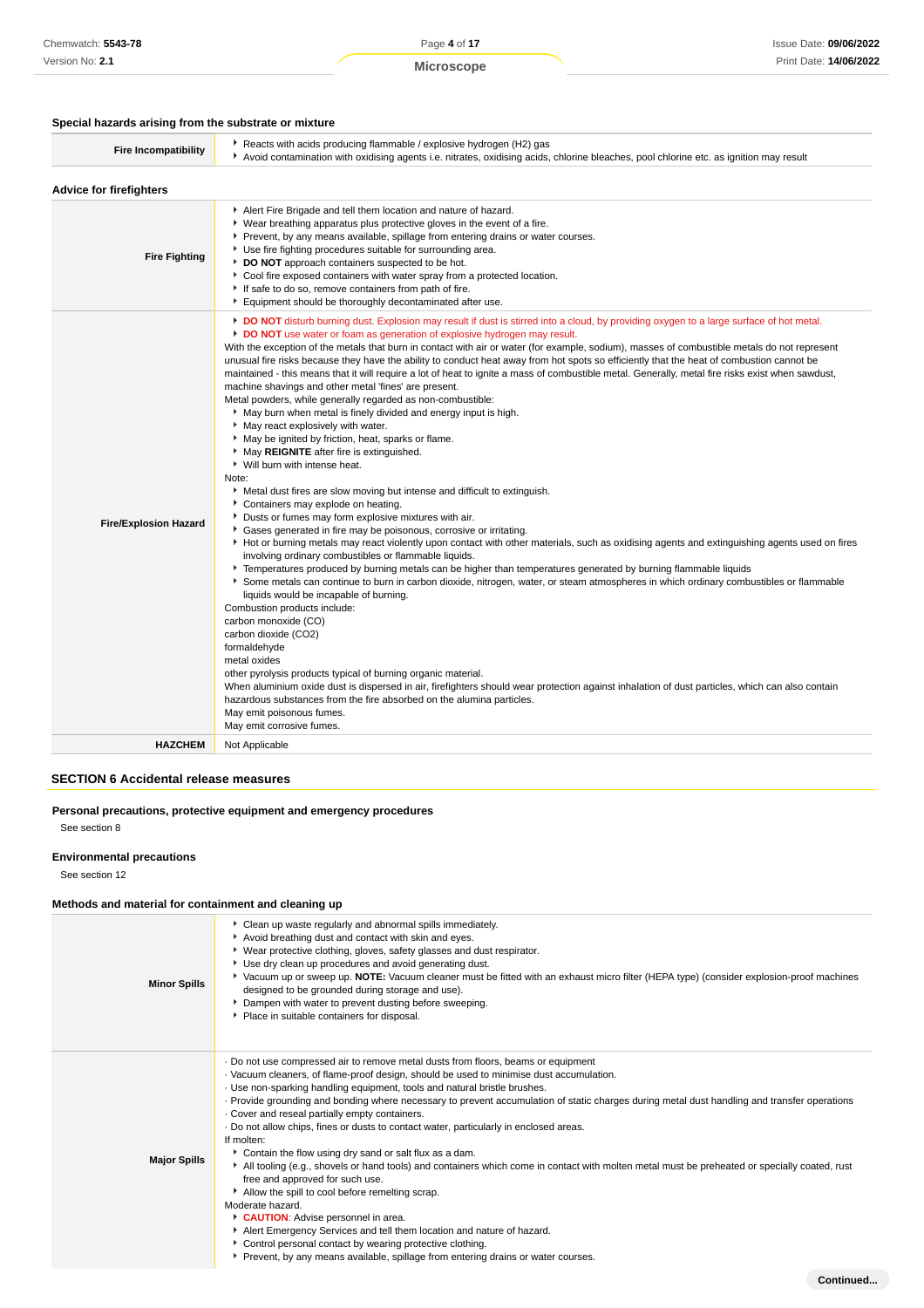Page **4** of **17**

### **Special hazards arising from the substrate or mixture**

| Reacts with acids producing flammable / explosive hydrogen (H2) gas<br><b>Fire Incompatibility</b><br>▶ Avoid contamination with oxidising agents i.e. nitrates, oxidising acids, chlorine bleaches, pool chlorine etc. as ignition may result<br><b>Advice for firefighters</b><br>Alert Fire Brigade and tell them location and nature of hazard.<br>• Wear breathing apparatus plus protective gloves in the event of a fire.<br>▶ Prevent, by any means available, spillage from entering drains or water courses.<br>Use fire fighting procedures suitable for surrounding area.<br><b>Fire Fighting</b><br>DO NOT approach containers suspected to be hot.<br>Cool fire exposed containers with water spray from a protected location.<br>If safe to do so, remove containers from path of fire.<br>Equipment should be thoroughly decontaminated after use.<br><b>DO NOT</b> disturb burning dust. Explosion may result if dust is stirred into a cloud, by providing oxygen to a large surface of hot metal.<br>DO NOT use water or foam as generation of explosive hydrogen may result.<br>With the exception of the metals that burn in contact with air or water (for example, sodium), masses of combustible metals do not represent<br>unusual fire risks because they have the ability to conduct heat away from hot spots so efficiently that the heat of combustion cannot be<br>maintained - this means that it will require a lot of heat to ignite a mass of combustible metal. Generally, metal fire risks exist when sawdust,<br>machine shavings and other metal 'fines' are present.<br>Metal powders, while generally regarded as non-combustible:<br>May burn when metal is finely divided and energy input is high.<br>• May react explosively with water.<br>May be ignited by friction, heat, sparks or flame.<br>May REIGNITE after fire is extinguished.<br>▶ Will burn with intense heat.<br>Note:<br>► Metal dust fires are slow moving but intense and difficult to extinguish.<br>Containers may explode on heating.<br>Dusts or fumes may form explosive mixtures with air.<br><b>Fire/Explosion Hazard</b><br>Gases generated in fire may be poisonous, corrosive or irritating.<br>Hot or burning metals may react violently upon contact with other materials, such as oxidising agents and extinguishing agents used on fires<br>involving ordinary combustibles or flammable liquids.<br>Femperatures produced by burning metals can be higher than temperatures generated by burning flammable liquids<br>Some metals can continue to burn in carbon dioxide, nitrogen, water, or steam atmospheres in which ordinary combustibles or flammable<br>liquids would be incapable of burning.<br>Combustion products include:<br>carbon monoxide (CO)<br>carbon dioxide (CO2)<br>formaldehyde<br>metal oxides<br>other pyrolysis products typical of burning organic material.<br>When aluminium oxide dust is dispersed in air, firefighters should wear protection against inhalation of dust particles, which can also contain<br>hazardous substances from the fire absorbed on the alumina particles.<br>May emit poisonous fumes.<br>May emit corrosive fumes.<br><b>HAZCHEM</b><br>Not Applicable |  |
|-----------------------------------------------------------------------------------------------------------------------------------------------------------------------------------------------------------------------------------------------------------------------------------------------------------------------------------------------------------------------------------------------------------------------------------------------------------------------------------------------------------------------------------------------------------------------------------------------------------------------------------------------------------------------------------------------------------------------------------------------------------------------------------------------------------------------------------------------------------------------------------------------------------------------------------------------------------------------------------------------------------------------------------------------------------------------------------------------------------------------------------------------------------------------------------------------------------------------------------------------------------------------------------------------------------------------------------------------------------------------------------------------------------------------------------------------------------------------------------------------------------------------------------------------------------------------------------------------------------------------------------------------------------------------------------------------------------------------------------------------------------------------------------------------------------------------------------------------------------------------------------------------------------------------------------------------------------------------------------------------------------------------------------------------------------------------------------------------------------------------------------------------------------------------------------------------------------------------------------------------------------------------------------------------------------------------------------------------------------------------------------------------------------------------------------------------------------------------------------------------------------------------------------------------------------------------------------------------------------------------------------------------------------------------------------------------------------------------------------------------------------------------------------------------------------------------------------------------------------------------------------------------------------------------------------------------------------------------------------------------------------------------------------------------------------------------------------------------------------------------------------------------------------------------------------------------------------------------------------------------|--|
|                                                                                                                                                                                                                                                                                                                                                                                                                                                                                                                                                                                                                                                                                                                                                                                                                                                                                                                                                                                                                                                                                                                                                                                                                                                                                                                                                                                                                                                                                                                                                                                                                                                                                                                                                                                                                                                                                                                                                                                                                                                                                                                                                                                                                                                                                                                                                                                                                                                                                                                                                                                                                                                                                                                                                                                                                                                                                                                                                                                                                                                                                                                                                                                                                                               |  |
|                                                                                                                                                                                                                                                                                                                                                                                                                                                                                                                                                                                                                                                                                                                                                                                                                                                                                                                                                                                                                                                                                                                                                                                                                                                                                                                                                                                                                                                                                                                                                                                                                                                                                                                                                                                                                                                                                                                                                                                                                                                                                                                                                                                                                                                                                                                                                                                                                                                                                                                                                                                                                                                                                                                                                                                                                                                                                                                                                                                                                                                                                                                                                                                                                                               |  |
|                                                                                                                                                                                                                                                                                                                                                                                                                                                                                                                                                                                                                                                                                                                                                                                                                                                                                                                                                                                                                                                                                                                                                                                                                                                                                                                                                                                                                                                                                                                                                                                                                                                                                                                                                                                                                                                                                                                                                                                                                                                                                                                                                                                                                                                                                                                                                                                                                                                                                                                                                                                                                                                                                                                                                                                                                                                                                                                                                                                                                                                                                                                                                                                                                                               |  |
|                                                                                                                                                                                                                                                                                                                                                                                                                                                                                                                                                                                                                                                                                                                                                                                                                                                                                                                                                                                                                                                                                                                                                                                                                                                                                                                                                                                                                                                                                                                                                                                                                                                                                                                                                                                                                                                                                                                                                                                                                                                                                                                                                                                                                                                                                                                                                                                                                                                                                                                                                                                                                                                                                                                                                                                                                                                                                                                                                                                                                                                                                                                                                                                                                                               |  |
|                                                                                                                                                                                                                                                                                                                                                                                                                                                                                                                                                                                                                                                                                                                                                                                                                                                                                                                                                                                                                                                                                                                                                                                                                                                                                                                                                                                                                                                                                                                                                                                                                                                                                                                                                                                                                                                                                                                                                                                                                                                                                                                                                                                                                                                                                                                                                                                                                                                                                                                                                                                                                                                                                                                                                                                                                                                                                                                                                                                                                                                                                                                                                                                                                                               |  |

# **SECTION 6 Accidental release measures**

### **Personal precautions, protective equipment and emergency procedures** See section 8

# **Environmental precautions**

See section 12

# **Methods and material for containment and cleaning up**

| <b>Minor Spills</b> | • Clean up waste regularly and abnormal spills immediately.<br>Avoid breathing dust and contact with skin and eyes.<br>• Wear protective clothing, gloves, safety glasses and dust respirator.<br>Use dry clean up procedures and avoid generating dust.<br>▶ Vacuum up or sweep up. NOTE: Vacuum cleaner must be fitted with an exhaust micro filter (HEPA type) (consider explosion-proof machines<br>designed to be grounded during storage and use).<br>Dampen with water to prevent dusting before sweeping.<br>Place in suitable containers for disposal.                                                                                                                                                                                                                                                                                                                                                                                                                                                                                                                                                                                        |
|---------------------|--------------------------------------------------------------------------------------------------------------------------------------------------------------------------------------------------------------------------------------------------------------------------------------------------------------------------------------------------------------------------------------------------------------------------------------------------------------------------------------------------------------------------------------------------------------------------------------------------------------------------------------------------------------------------------------------------------------------------------------------------------------------------------------------------------------------------------------------------------------------------------------------------------------------------------------------------------------------------------------------------------------------------------------------------------------------------------------------------------------------------------------------------------|
| <b>Major Spills</b> | . Do not use compressed air to remove metal dusts from floors, beams or equipment<br>· Vacuum cleaners, of flame-proof design, should be used to minimise dust accumulation.<br>· Use non-sparking handling equipment, tools and natural bristle brushes.<br>· Provide grounding and bonding where necessary to prevent accumulation of static charges during metal dust handling and transfer operations<br>. Cover and reseal partially empty containers.<br>. Do not allow chips, fines or dusts to contact water, particularly in enclosed areas.<br>If molten:<br>Contain the flow using dry sand or salt flux as a dam.<br>All tooling (e.g., shovels or hand tools) and containers which come in contact with molten metal must be preheated or specially coated, rust<br>free and approved for such use.<br>Allow the spill to cool before remelting scrap.<br>Moderate hazard.<br>CAUTION: Advise personnel in area.<br>Alert Emergency Services and tell them location and nature of hazard.<br>Control personal contact by wearing protective clothing.<br>Prevent, by any means available, spillage from entering drains or water courses. |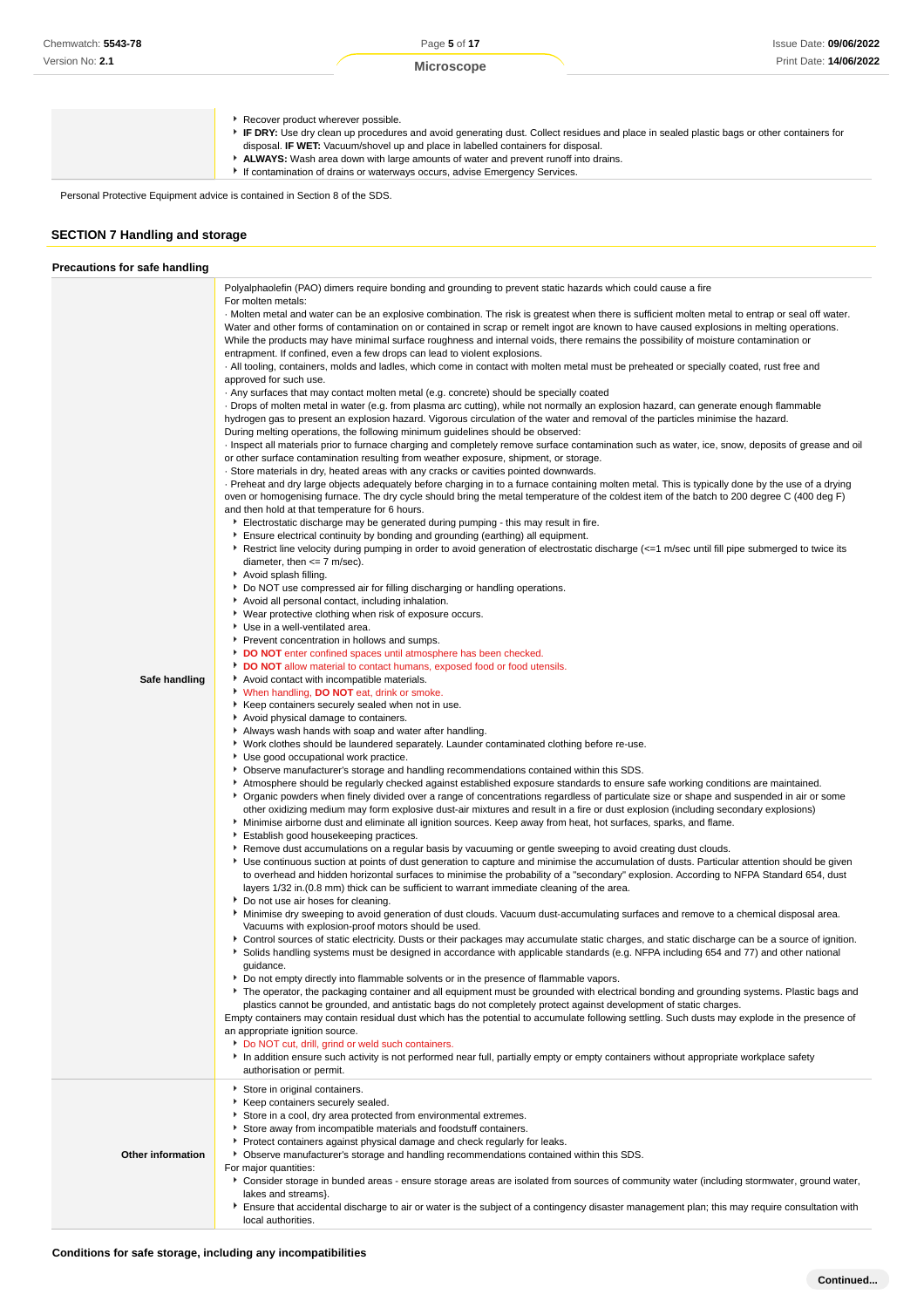Recover product wherever possible.

- **IF DRY:** Use dry clean up procedures and avoid generating dust. Collect residues and place in sealed plastic bags or other containers for
	- disposal. **IF WET:** Vacuum/shovel up and place in labelled containers for disposal.
- **ALWAYS:** Wash area down with large amounts of water and prevent runoff into drains. If contamination of drains or waterways occurs, advise Emergency Services.

Personal Protective Equipment advice is contained in Section 8 of the SDS.

# **SECTION 7 Handling and storage**

| <b>Precautions for safe handling</b> |                                                                                                                                                                                                                                                                                                                                                                                                                                                                                                                      |
|--------------------------------------|----------------------------------------------------------------------------------------------------------------------------------------------------------------------------------------------------------------------------------------------------------------------------------------------------------------------------------------------------------------------------------------------------------------------------------------------------------------------------------------------------------------------|
|                                      | Polyalphaolefin (PAO) dimers require bonding and grounding to prevent static hazards which could cause a fire                                                                                                                                                                                                                                                                                                                                                                                                        |
|                                      | For molten metals:                                                                                                                                                                                                                                                                                                                                                                                                                                                                                                   |
|                                      | . Molten metal and water can be an explosive combination. The risk is greatest when there is sufficient molten metal to entrap or seal off water.<br>Water and other forms of contamination on or contained in scrap or remelt ingot are known to have caused explosions in melting operations.<br>While the products may have minimal surface roughness and internal voids, there remains the possibility of moisture contamination or<br>entrapment. If confined, even a few drops can lead to violent explosions. |
|                                      | . All tooling, containers, molds and ladles, which come in contact with molten metal must be preheated or specially coated, rust free and<br>approved for such use.                                                                                                                                                                                                                                                                                                                                                  |
|                                      | . Any surfaces that may contact molten metal (e.g. concrete) should be specially coated                                                                                                                                                                                                                                                                                                                                                                                                                              |
|                                      | Drops of molten metal in water (e.g. from plasma arc cutting), while not normally an explosion hazard, can generate enough flammable<br>hydrogen gas to present an explosion hazard. Vigorous circulation of the water and removal of the particles minimise the hazard.                                                                                                                                                                                                                                             |
|                                      | During melting operations, the following minimum quidelines should be observed:<br>Inspect all materials prior to furnace charging and completely remove surface contamination such as water, ice, snow, deposits of grease and oil<br>or other surface contamination resulting from weather exposure, shipment, or storage.                                                                                                                                                                                         |
|                                      | · Store materials in dry, heated areas with any cracks or cavities pointed downwards.                                                                                                                                                                                                                                                                                                                                                                                                                                |
|                                      | Preheat and dry large objects adequately before charging in to a furnace containing molten metal. This is typically done by the use of a drying<br>oven or homogenising furnace. The dry cycle should bring the metal temperature of the coldest item of the batch to 200 degree C (400 deg F)                                                                                                                                                                                                                       |
|                                      | and then hold at that temperature for 6 hours.                                                                                                                                                                                                                                                                                                                                                                                                                                                                       |
|                                      | Electrostatic discharge may be generated during pumping - this may result in fire.                                                                                                                                                                                                                                                                                                                                                                                                                                   |
|                                      | Ensure electrical continuity by bonding and grounding (earthing) all equipment.<br>Restrict line velocity during pumping in order to avoid generation of electrostatic discharge (<=1 m/sec until fill pipe submerged to twice its                                                                                                                                                                                                                                                                                   |
|                                      | diameter, then $\leq$ 7 m/sec).<br>Avoid splash filling.                                                                                                                                                                                                                                                                                                                                                                                                                                                             |
|                                      | Do NOT use compressed air for filling discharging or handling operations.                                                                                                                                                                                                                                                                                                                                                                                                                                            |
|                                      | Avoid all personal contact, including inhalation.                                                                                                                                                                                                                                                                                                                                                                                                                                                                    |
|                                      | ▶ Wear protective clothing when risk of exposure occurs.                                                                                                                                                                                                                                                                                                                                                                                                                                                             |
|                                      | Use in a well-ventilated area.                                                                                                                                                                                                                                                                                                                                                                                                                                                                                       |
|                                      | Prevent concentration in hollows and sumps.                                                                                                                                                                                                                                                                                                                                                                                                                                                                          |
|                                      | DO NOT enter confined spaces until atmosphere has been checked.<br>DO NOT allow material to contact humans, exposed food or food utensils.                                                                                                                                                                                                                                                                                                                                                                           |
| Safe handling                        | Avoid contact with incompatible materials.                                                                                                                                                                                                                                                                                                                                                                                                                                                                           |
|                                      | When handling, DO NOT eat, drink or smoke.                                                                                                                                                                                                                                                                                                                                                                                                                                                                           |
|                                      | ▶ Keep containers securely sealed when not in use.                                                                                                                                                                                                                                                                                                                                                                                                                                                                   |
|                                      | Avoid physical damage to containers.                                                                                                                                                                                                                                                                                                                                                                                                                                                                                 |
|                                      | Always wash hands with soap and water after handling.                                                                                                                                                                                                                                                                                                                                                                                                                                                                |
|                                      | ▶ Work clothes should be laundered separately. Launder contaminated clothing before re-use.<br>Use good occupational work practice.                                                                                                                                                                                                                                                                                                                                                                                  |
|                                      | ▶ Observe manufacturer's storage and handling recommendations contained within this SDS.                                                                                                                                                                                                                                                                                                                                                                                                                             |
|                                      | Atmosphere should be regularly checked against established exposure standards to ensure safe working conditions are maintained.                                                                                                                                                                                                                                                                                                                                                                                      |
|                                      | ▶ Organic powders when finely divided over a range of concentrations regardless of particulate size or shape and suspended in air or some                                                                                                                                                                                                                                                                                                                                                                            |
|                                      | other oxidizing medium may form explosive dust-air mixtures and result in a fire or dust explosion (including secondary explosions)<br>Minimise airborne dust and eliminate all ignition sources. Keep away from heat, hot surfaces, sparks, and flame.                                                                                                                                                                                                                                                              |
|                                      | Establish good housekeeping practices.<br>▶ Remove dust accumulations on a regular basis by vacuuming or gentle sweeping to avoid creating dust clouds.                                                                                                                                                                                                                                                                                                                                                              |
|                                      | ▶ Use continuous suction at points of dust generation to capture and minimise the accumulation of dusts. Particular attention should be given<br>to overhead and hidden horizontal surfaces to minimise the probability of a "secondary" explosion. According to NFPA Standard 654, dust<br>layers 1/32 in. (0.8 mm) thick can be sufficient to warrant immediate cleaning of the area.                                                                                                                              |
|                                      | Do not use air hoses for cleaning.                                                                                                                                                                                                                                                                                                                                                                                                                                                                                   |
|                                      | ▶ Minimise dry sweeping to avoid generation of dust clouds. Vacuum dust-accumulating surfaces and remove to a chemical disposal area.<br>Vacuums with explosion-proof motors should be used.                                                                                                                                                                                                                                                                                                                         |
|                                      | ▶ Control sources of static electricity. Dusts or their packages may accumulate static charges, and static discharge can be a source of ignition.<br>Solids handling systems must be designed in accordance with applicable standards (e.g. NFPA including 654 and 77) and other national                                                                                                                                                                                                                            |
|                                      | guidance.<br>Do not empty directly into flammable solvents or in the presence of flammable vapors.                                                                                                                                                                                                                                                                                                                                                                                                                   |
|                                      | The operator, the packaging container and all equipment must be grounded with electrical bonding and grounding systems. Plastic bags and<br>plastics cannot be grounded, and antistatic bags do not completely protect against development of static charges.                                                                                                                                                                                                                                                        |
|                                      | Empty containers may contain residual dust which has the potential to accumulate following settling. Such dusts may explode in the presence of                                                                                                                                                                                                                                                                                                                                                                       |
|                                      | an appropriate ignition source.<br>Do NOT cut, drill, grind or weld such containers.                                                                                                                                                                                                                                                                                                                                                                                                                                 |
|                                      | In addition ensure such activity is not performed near full, partially empty or empty containers without appropriate workplace safety                                                                                                                                                                                                                                                                                                                                                                                |
|                                      | authorisation or permit.                                                                                                                                                                                                                                                                                                                                                                                                                                                                                             |
|                                      | Store in original containers.<br>Keep containers securely sealed.                                                                                                                                                                                                                                                                                                                                                                                                                                                    |
|                                      | Store in a cool, dry area protected from environmental extremes.                                                                                                                                                                                                                                                                                                                                                                                                                                                     |
|                                      | Store away from incompatible materials and foodstuff containers.                                                                                                                                                                                                                                                                                                                                                                                                                                                     |
|                                      | Protect containers against physical damage and check regularly for leaks.                                                                                                                                                                                                                                                                                                                                                                                                                                            |
| Other information                    | • Observe manufacturer's storage and handling recommendations contained within this SDS.                                                                                                                                                                                                                                                                                                                                                                                                                             |
|                                      | For major quantities:                                                                                                                                                                                                                                                                                                                                                                                                                                                                                                |
|                                      | > Consider storage in bunded areas - ensure storage areas are isolated from sources of community water (including stormwater, ground water,<br>lakes and streams}.                                                                                                                                                                                                                                                                                                                                                   |
|                                      | Ensure that accidental discharge to air or water is the subject of a contingency disaster management plan; this may require consultation with                                                                                                                                                                                                                                                                                                                                                                        |
|                                      | local authorities.                                                                                                                                                                                                                                                                                                                                                                                                                                                                                                   |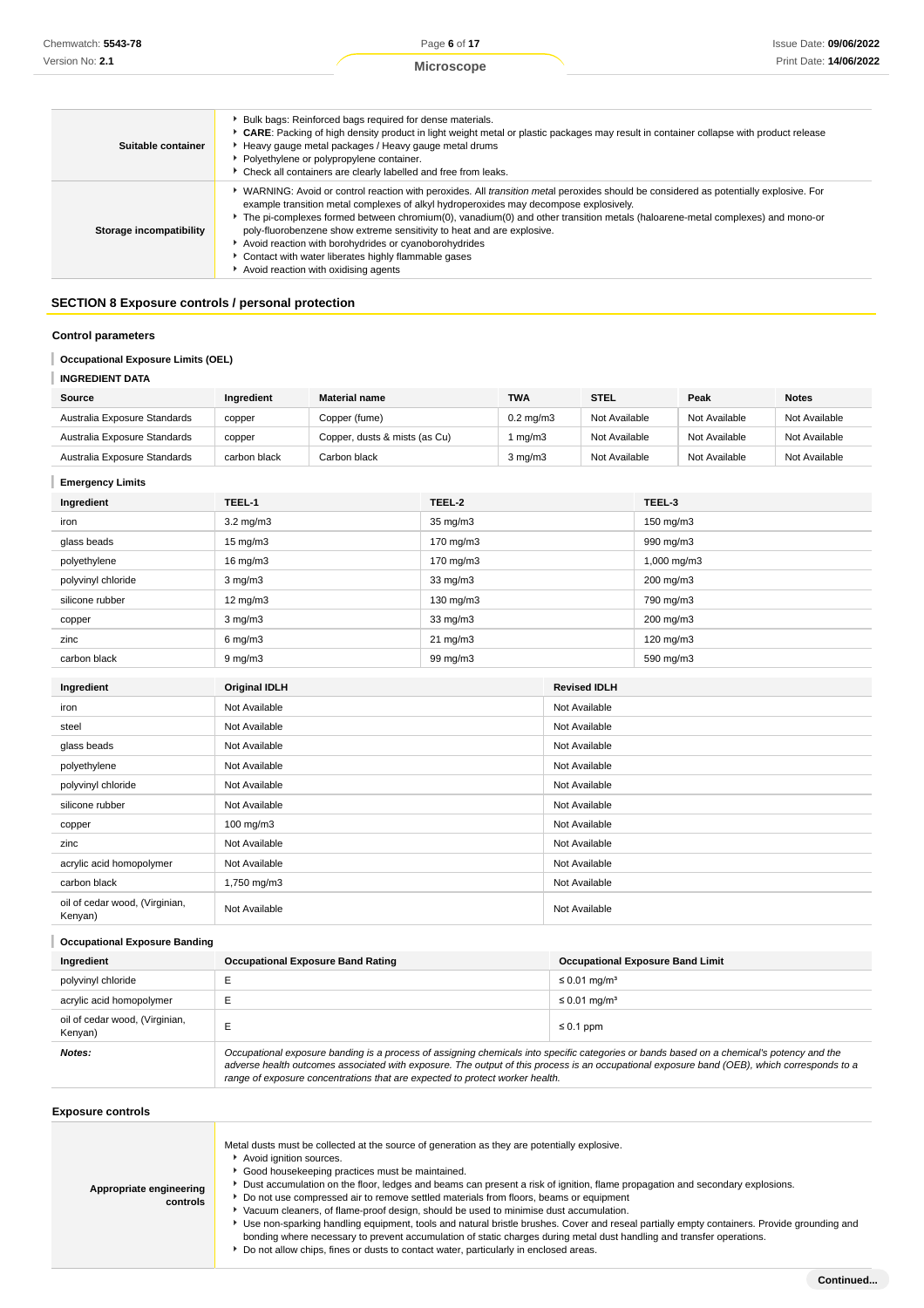**Microscope**

| Suitable container      | Bulk bags: Reinforced bags required for dense materials.<br>▶ CARE: Packing of high density product in light weight metal or plastic packages may result in container collapse with product release<br>Heavy gauge metal packages / Heavy gauge metal drums<br>Polyethylene or polypropylene container.<br>• Check all containers are clearly labelled and free from leaks.                                                                                                                                                                                                                       |
|-------------------------|---------------------------------------------------------------------------------------------------------------------------------------------------------------------------------------------------------------------------------------------------------------------------------------------------------------------------------------------------------------------------------------------------------------------------------------------------------------------------------------------------------------------------------------------------------------------------------------------------|
| Storage incompatibility | ↓ WARNING: Avoid or control reaction with peroxides. All transition metal peroxides should be considered as potentially explosive. For<br>example transition metal complexes of alkyl hydroperoxides may decompose explosively.<br>The pi-complexes formed between chromium(0), vanadium(0) and other transition metals (haloarene-metal complexes) and mono-or<br>poly-fluorobenzene show extreme sensitivity to heat and are explosive.<br>Avoid reaction with borohydrides or cyanoborohydrides<br>Contact with water liberates highly flammable gases<br>Avoid reaction with oxidising agents |

# **SECTION 8 Exposure controls / personal protection**

### **Control parameters**

# **Occupational Exposure Limits (OEL)**

**INGREDIENT DATA**

| Source                       | Ingredient   | <b>Material name</b>          | <b>TWA</b>       | <b>STEL</b>   | Peak          | <b>Notes</b>  |
|------------------------------|--------------|-------------------------------|------------------|---------------|---------------|---------------|
| Australia Exposure Standards | copper       | Copper (fume)                 | $0.2$ mg/m $3$   | Not Available | Not Available | Not Available |
| Australia Exposure Standards | copper       | Copper, dusts & mists (as Cu) | mg/m3            | Not Available | Not Available | Not Available |
| Australia Exposure Standards | carbon black | Carbon black                  | $3 \text{ mg/m}$ | Not Available | Not Available | Not Available |

# **Emergency Limits**

| Ingredient                                | TEEL-1               | TEEL-2            |                     | TEEL-3      |
|-------------------------------------------|----------------------|-------------------|---------------------|-------------|
| iron                                      | 3.2 mg/m3            | 35 mg/m3          |                     | 150 mg/m3   |
| glass beads                               | $15 \text{ mg/m}$    | 170 mg/m3         |                     | 990 mg/m3   |
| polyethylene                              | 16 mg/m3             | 170 mg/m3         |                     | 1,000 mg/m3 |
| polyvinyl chloride                        | $3$ mg/m $3$         | 33 mg/m3          |                     | 200 mg/m3   |
| silicone rubber                           | $12 \text{ mg/m}$    | 130 mg/m3         |                     | 790 mg/m3   |
| copper                                    | $3$ mg/m $3$         | 33 mg/m3          |                     | 200 mg/m3   |
| zinc                                      | $6$ mg/m $3$         | $21 \text{ mg/m}$ |                     | 120 mg/m3   |
| carbon black                              | $9$ mg/m $3$         | 99 mg/m3          |                     | 590 mg/m3   |
|                                           |                      |                   | <b>Revised IDLH</b> |             |
| Ingredient                                | <b>Original IDLH</b> |                   |                     |             |
| iron                                      | Not Available        |                   | Not Available       |             |
| steel                                     | Not Available        |                   | Not Available       |             |
| glass beads                               | Not Available        |                   | Not Available       |             |
| polyethylene                              | Not Available        |                   | Not Available       |             |
| polyvinyl chloride                        | Not Available        |                   | Not Available       |             |
| silicone rubber                           | Not Available        |                   | Not Available       |             |
| copper                                    | 100 mg/m3            |                   | Not Available       |             |
| zinc                                      | Not Available        |                   | Not Available       |             |
| acrylic acid homopolymer                  | Not Available        |                   | Not Available       |             |
| carbon black                              | 1,750 mg/m3          |                   | Not Available       |             |
| oil of cedar wood, (Virginian,<br>Kenyan) | Not Available        |                   | Not Available       |             |

# **Occupational Exposure Banding**

| Ingredient                                | <b>Occupational Exposure Band Rating</b>                                                                                                                                                                                                                                                                                                                                 | <b>Occupational Exposure Band Limit</b> |  |
|-------------------------------------------|--------------------------------------------------------------------------------------------------------------------------------------------------------------------------------------------------------------------------------------------------------------------------------------------------------------------------------------------------------------------------|-----------------------------------------|--|
| polyvinyl chloride                        |                                                                                                                                                                                                                                                                                                                                                                          | $\leq$ 0.01 mg/m <sup>3</sup>           |  |
| acrylic acid homopolymer                  | -                                                                                                                                                                                                                                                                                                                                                                        | $\leq$ 0.01 mg/m <sup>3</sup>           |  |
| oil of cedar wood, (Virginian,<br>Kenyan) | $\leq 0.1$ ppm                                                                                                                                                                                                                                                                                                                                                           |                                         |  |
| Notes:                                    | Occupational exposure banding is a process of assigning chemicals into specific categories or bands based on a chemical's potency and the<br>adverse health outcomes associated with exposure. The output of this process is an occupational exposure band (OEB), which corresponds to a<br>range of exposure concentrations that are expected to protect worker health. |                                         |  |

# **Exposure controls**

| Appropriate engineering<br>controls | Metal dusts must be collected at the source of generation as they are potentially explosive.<br>Avoid ignition sources.<br>Good housekeeping practices must be maintained.<br>Dust accumulation on the floor, ledges and beams can present a risk of ignition, flame propagation and secondary explosions.<br>Do not use compressed air to remove settled materials from floors, beams or equipment<br>Vacuum cleaners, of flame-proof design, should be used to minimise dust accumulation.<br>Use non-sparking handling equipment, tools and natural bristle brushes. Cover and reseal partially empty containers. Provide grounding and<br>bonding where necessary to prevent accumulation of static charges during metal dust handling and transfer operations.<br>▶ Do not allow chips, fines or dusts to contact water, particularly in enclosed areas. |
|-------------------------------------|---------------------------------------------------------------------------------------------------------------------------------------------------------------------------------------------------------------------------------------------------------------------------------------------------------------------------------------------------------------------------------------------------------------------------------------------------------------------------------------------------------------------------------------------------------------------------------------------------------------------------------------------------------------------------------------------------------------------------------------------------------------------------------------------------------------------------------------------------------------|
|-------------------------------------|---------------------------------------------------------------------------------------------------------------------------------------------------------------------------------------------------------------------------------------------------------------------------------------------------------------------------------------------------------------------------------------------------------------------------------------------------------------------------------------------------------------------------------------------------------------------------------------------------------------------------------------------------------------------------------------------------------------------------------------------------------------------------------------------------------------------------------------------------------------|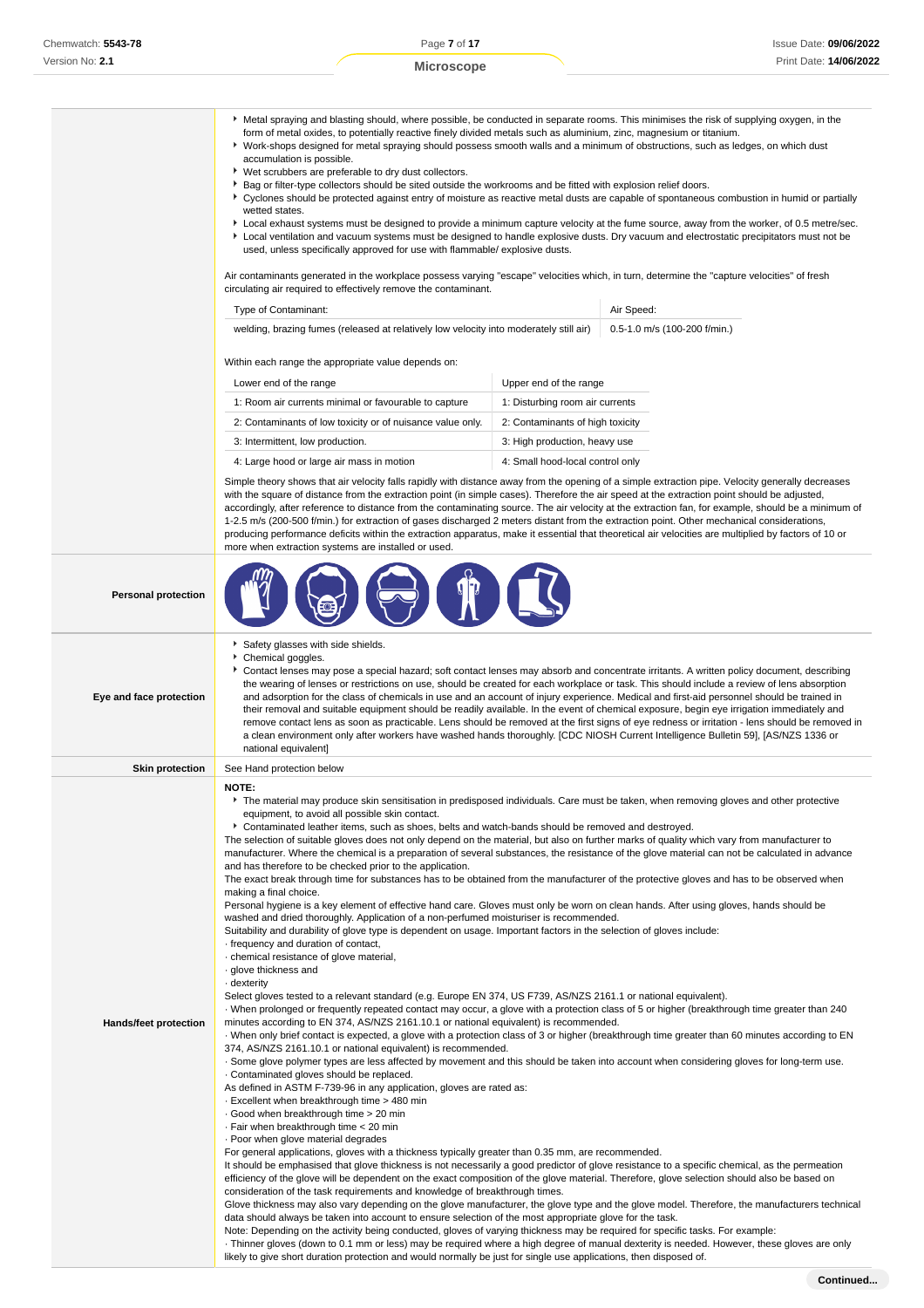|                              | ▶ Metal spraying and blasting should, where possible, be conducted in separate rooms. This minimises the risk of supplying oxygen, in the<br>form of metal oxides, to potentially reactive finely divided metals such as aluminium, zinc, magnesium or titanium.<br>▶ Work-shops designed for metal spraying should possess smooth walls and a minimum of obstructions, such as ledges, on which dust<br>accumulation is possible.<br>▶ Wet scrubbers are preferable to dry dust collectors.<br>▶ Bag or filter-type collectors should be sited outside the workrooms and be fitted with explosion relief doors.<br>▶ Cyclones should be protected against entry of moisture as reactive metal dusts are capable of spontaneous combustion in humid or partially<br>wetted states.<br>▶ Local exhaust systems must be designed to provide a minimum capture velocity at the fume source, away from the worker, of 0.5 metre/sec.<br>Local ventilation and vacuum systems must be designed to handle explosive dusts. Dry vacuum and electrostatic precipitators must not be<br>used, unless specifically approved for use with flammable/ explosive dusts.<br>Air contaminants generated in the workplace possess varying "escape" velocities which, in turn, determine the "capture velocities" of fresh<br>circulating air required to effectively remove the contaminant.<br>Air Speed:<br>Type of Contaminant:<br>welding, brazing fumes (released at relatively low velocity into moderately still air)<br>0.5-1.0 m/s (100-200 f/min.)                                                                                                                                                                                                                                                                                                                                                                                                                                                                                                                                                                                                                                                                                                                                                                                                                                                                                                                                                                                                                                                                                                                                                                                                                                                                                                                                                                                                                                                                                                                                                                                                                                                                                                   |                                  |  |  |  |
|------------------------------|------------------------------------------------------------------------------------------------------------------------------------------------------------------------------------------------------------------------------------------------------------------------------------------------------------------------------------------------------------------------------------------------------------------------------------------------------------------------------------------------------------------------------------------------------------------------------------------------------------------------------------------------------------------------------------------------------------------------------------------------------------------------------------------------------------------------------------------------------------------------------------------------------------------------------------------------------------------------------------------------------------------------------------------------------------------------------------------------------------------------------------------------------------------------------------------------------------------------------------------------------------------------------------------------------------------------------------------------------------------------------------------------------------------------------------------------------------------------------------------------------------------------------------------------------------------------------------------------------------------------------------------------------------------------------------------------------------------------------------------------------------------------------------------------------------------------------------------------------------------------------------------------------------------------------------------------------------------------------------------------------------------------------------------------------------------------------------------------------------------------------------------------------------------------------------------------------------------------------------------------------------------------------------------------------------------------------------------------------------------------------------------------------------------------------------------------------------------------------------------------------------------------------------------------------------------------------------------------------------------------------------------------------------------------------------------------------------------------------------------------------------------------------------------------------------------------------------------------------------------------------------------------------------------------------------------------------------------------------------------------------------------------------------------------------------------------------------------------------------------------------------------------------------------------------------------------------------------------------------------------|----------------------------------|--|--|--|
|                              | Within each range the appropriate value depends on:                                                                                                                                                                                                                                                                                                                                                                                                                                                                                                                                                                                                                                                                                                                                                                                                                                                                                                                                                                                                                                                                                                                                                                                                                                                                                                                                                                                                                                                                                                                                                                                                                                                                                                                                                                                                                                                                                                                                                                                                                                                                                                                                                                                                                                                                                                                                                                                                                                                                                                                                                                                                                                                                                                                                                                                                                                                                                                                                                                                                                                                                                                                                                                                            |                                  |  |  |  |
|                              | Lower end of the range                                                                                                                                                                                                                                                                                                                                                                                                                                                                                                                                                                                                                                                                                                                                                                                                                                                                                                                                                                                                                                                                                                                                                                                                                                                                                                                                                                                                                                                                                                                                                                                                                                                                                                                                                                                                                                                                                                                                                                                                                                                                                                                                                                                                                                                                                                                                                                                                                                                                                                                                                                                                                                                                                                                                                                                                                                                                                                                                                                                                                                                                                                                                                                                                                         | Upper end of the range           |  |  |  |
|                              | 1: Room air currents minimal or favourable to capture                                                                                                                                                                                                                                                                                                                                                                                                                                                                                                                                                                                                                                                                                                                                                                                                                                                                                                                                                                                                                                                                                                                                                                                                                                                                                                                                                                                                                                                                                                                                                                                                                                                                                                                                                                                                                                                                                                                                                                                                                                                                                                                                                                                                                                                                                                                                                                                                                                                                                                                                                                                                                                                                                                                                                                                                                                                                                                                                                                                                                                                                                                                                                                                          | 1: Disturbing room air currents  |  |  |  |
|                              | 2: Contaminants of low toxicity or of nuisance value only.                                                                                                                                                                                                                                                                                                                                                                                                                                                                                                                                                                                                                                                                                                                                                                                                                                                                                                                                                                                                                                                                                                                                                                                                                                                                                                                                                                                                                                                                                                                                                                                                                                                                                                                                                                                                                                                                                                                                                                                                                                                                                                                                                                                                                                                                                                                                                                                                                                                                                                                                                                                                                                                                                                                                                                                                                                                                                                                                                                                                                                                                                                                                                                                     | 2: Contaminants of high toxicity |  |  |  |
|                              | 3: Intermittent, low production.                                                                                                                                                                                                                                                                                                                                                                                                                                                                                                                                                                                                                                                                                                                                                                                                                                                                                                                                                                                                                                                                                                                                                                                                                                                                                                                                                                                                                                                                                                                                                                                                                                                                                                                                                                                                                                                                                                                                                                                                                                                                                                                                                                                                                                                                                                                                                                                                                                                                                                                                                                                                                                                                                                                                                                                                                                                                                                                                                                                                                                                                                                                                                                                                               | 3: High production, heavy use    |  |  |  |
|                              | 4: Large hood or large air mass in motion                                                                                                                                                                                                                                                                                                                                                                                                                                                                                                                                                                                                                                                                                                                                                                                                                                                                                                                                                                                                                                                                                                                                                                                                                                                                                                                                                                                                                                                                                                                                                                                                                                                                                                                                                                                                                                                                                                                                                                                                                                                                                                                                                                                                                                                                                                                                                                                                                                                                                                                                                                                                                                                                                                                                                                                                                                                                                                                                                                                                                                                                                                                                                                                                      | 4: Small hood-local control only |  |  |  |
|                              | Simple theory shows that air velocity falls rapidly with distance away from the opening of a simple extraction pipe. Velocity generally decreases<br>with the square of distance from the extraction point (in simple cases). Therefore the air speed at the extraction point should be adjusted,<br>accordingly, after reference to distance from the contaminating source. The air velocity at the extraction fan, for example, should be a minimum of<br>1-2.5 m/s (200-500 f/min.) for extraction of gases discharged 2 meters distant from the extraction point. Other mechanical considerations,<br>producing performance deficits within the extraction apparatus, make it essential that theoretical air velocities are multiplied by factors of 10 or<br>more when extraction systems are installed or used.                                                                                                                                                                                                                                                                                                                                                                                                                                                                                                                                                                                                                                                                                                                                                                                                                                                                                                                                                                                                                                                                                                                                                                                                                                                                                                                                                                                                                                                                                                                                                                                                                                                                                                                                                                                                                                                                                                                                                                                                                                                                                                                                                                                                                                                                                                                                                                                                                          |                                  |  |  |  |
| <b>Personal protection</b>   |                                                                                                                                                                                                                                                                                                                                                                                                                                                                                                                                                                                                                                                                                                                                                                                                                                                                                                                                                                                                                                                                                                                                                                                                                                                                                                                                                                                                                                                                                                                                                                                                                                                                                                                                                                                                                                                                                                                                                                                                                                                                                                                                                                                                                                                                                                                                                                                                                                                                                                                                                                                                                                                                                                                                                                                                                                                                                                                                                                                                                                                                                                                                                                                                                                                |                                  |  |  |  |
| Eye and face protection      | Safety glasses with side shields.<br>Chemical goggles.<br>Contact lenses may pose a special hazard; soft contact lenses may absorb and concentrate irritants. A written policy document, describing<br>the wearing of lenses or restrictions on use, should be created for each workplace or task. This should include a review of lens absorption<br>and adsorption for the class of chemicals in use and an account of injury experience. Medical and first-aid personnel should be trained in<br>their removal and suitable equipment should be readily available. In the event of chemical exposure, begin eye irrigation immediately and<br>remove contact lens as soon as practicable. Lens should be removed at the first signs of eye redness or irritation - lens should be removed in<br>a clean environment only after workers have washed hands thoroughly. [CDC NIOSH Current Intelligence Bulletin 59], [AS/NZS 1336 or<br>national equivalent]                                                                                                                                                                                                                                                                                                                                                                                                                                                                                                                                                                                                                                                                                                                                                                                                                                                                                                                                                                                                                                                                                                                                                                                                                                                                                                                                                                                                                                                                                                                                                                                                                                                                                                                                                                                                                                                                                                                                                                                                                                                                                                                                                                                                                                                                                  |                                  |  |  |  |
| <b>Skin protection</b>       | See Hand protection below                                                                                                                                                                                                                                                                                                                                                                                                                                                                                                                                                                                                                                                                                                                                                                                                                                                                                                                                                                                                                                                                                                                                                                                                                                                                                                                                                                                                                                                                                                                                                                                                                                                                                                                                                                                                                                                                                                                                                                                                                                                                                                                                                                                                                                                                                                                                                                                                                                                                                                                                                                                                                                                                                                                                                                                                                                                                                                                                                                                                                                                                                                                                                                                                                      |                                  |  |  |  |
| <b>Hands/feet protection</b> | NOTE:<br>The material may produce skin sensitisation in predisposed individuals. Care must be taken, when removing gloves and other protective<br>equipment, to avoid all possible skin contact.<br>► Contaminated leather items, such as shoes, belts and watch-bands should be removed and destroyed.<br>The selection of suitable gloves does not only depend on the material, but also on further marks of quality which vary from manufacturer to<br>manufacturer. Where the chemical is a preparation of several substances, the resistance of the glove material can not be calculated in advance<br>and has therefore to be checked prior to the application.<br>The exact break through time for substances has to be obtained from the manufacturer of the protective gloves and has to be observed when<br>making a final choice.<br>Personal hygiene is a key element of effective hand care. Gloves must only be worn on clean hands. After using gloves, hands should be<br>washed and dried thoroughly. Application of a non-perfumed moisturiser is recommended.<br>Suitability and durability of glove type is dependent on usage. Important factors in the selection of gloves include:<br>frequency and duration of contact,<br>· chemical resistance of glove material,<br>· glove thickness and<br>dexterity .<br>Select gloves tested to a relevant standard (e.g. Europe EN 374, US F739, AS/NZS 2161.1 or national equivalent).<br>When prolonged or frequently repeated contact may occur, a glove with a protection class of 5 or higher (breakthrough time greater than 240<br>minutes according to EN 374, AS/NZS 2161.10.1 or national equivalent) is recommended.<br>When only brief contact is expected, a glove with a protection class of 3 or higher (breakthrough time greater than 60 minutes according to EN<br>374, AS/NZS 2161.10.1 or national equivalent) is recommended.<br>. Some glove polymer types are less affected by movement and this should be taken into account when considering gloves for long-term use.<br>Contaminated gloves should be replaced.<br>As defined in ASTM F-739-96 in any application, gloves are rated as:<br>Excellent when breakthrough time > 480 min<br>Good when breakthrough time > 20 min<br>. Fair when breakthrough time < 20 min<br>. Poor when glove material degrades<br>For general applications, gloves with a thickness typically greater than 0.35 mm, are recommended.<br>It should be emphasised that glove thickness is not necessarily a good predictor of glove resistance to a specific chemical, as the permeation<br>efficiency of the glove will be dependent on the exact composition of the glove material. Therefore, glove selection should also be based on<br>consideration of the task requirements and knowledge of breakthrough times.<br>Glove thickness may also vary depending on the glove manufacturer, the glove type and the glove model. Therefore, the manufacturers technical<br>data should always be taken into account to ensure selection of the most appropriate glove for the task.<br>Note: Depending on the activity being conducted, gloves of varying thickness may be required for specific tasks. For example: |                                  |  |  |  |

· Thinner gloves (down to 0.1 mm or less) may be required where a high degree of manual dexterity is needed. However, these gloves are only

likely to give short duration protection and would normally be just for single use applications, then disposed of.

**Continued...**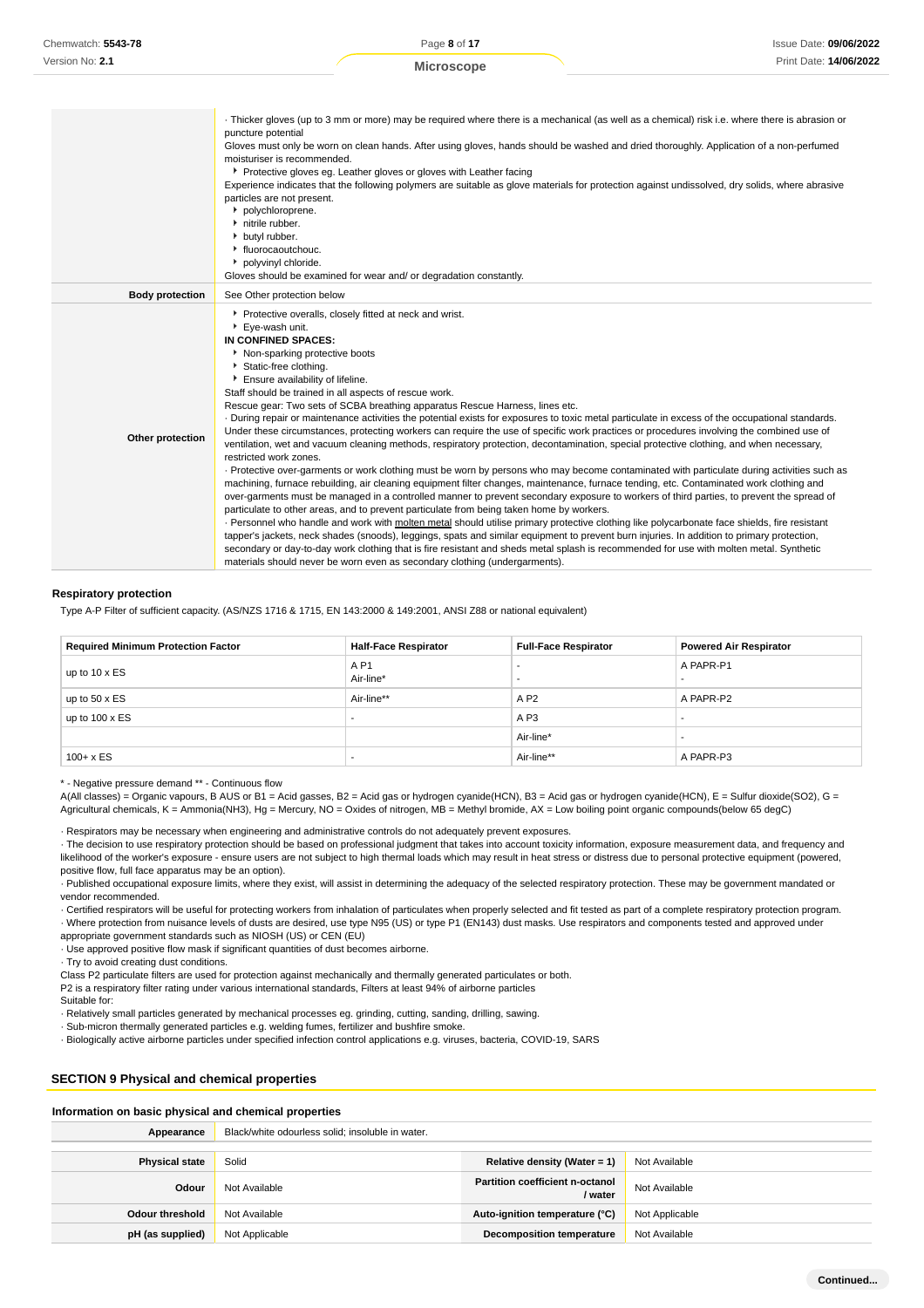Page **8** of **17 Microscope**

|                        | Thicker gloves (up to 3 mm or more) may be required where there is a mechanical (as well as a chemical) risk i.e. where there is abrasion or<br>puncture potential<br>Gloves must only be worn on clean hands. After using gloves, hands should be washed and dried thoroughly. Application of a non-perfumed<br>moisturiser is recommended.<br>Protective gloves eg. Leather gloves or gloves with Leather facing<br>Experience indicates that the following polymers are suitable as glove materials for protection against undissolved, dry solids, where abrasive<br>particles are not present.<br>polychloroprene.<br>nitrile rubber.<br>butyl rubber.<br>• fluorocaoutchouc.<br>polyvinyl chloride.<br>Gloves should be examined for wear and/ or degradation constantly.                                                                                                                                                                                                                                                                                                                                                                                                                                                                                                                                                                                                                                                                                                                                                                                                                                                                                                                                                                                                                                                                                      |
|------------------------|----------------------------------------------------------------------------------------------------------------------------------------------------------------------------------------------------------------------------------------------------------------------------------------------------------------------------------------------------------------------------------------------------------------------------------------------------------------------------------------------------------------------------------------------------------------------------------------------------------------------------------------------------------------------------------------------------------------------------------------------------------------------------------------------------------------------------------------------------------------------------------------------------------------------------------------------------------------------------------------------------------------------------------------------------------------------------------------------------------------------------------------------------------------------------------------------------------------------------------------------------------------------------------------------------------------------------------------------------------------------------------------------------------------------------------------------------------------------------------------------------------------------------------------------------------------------------------------------------------------------------------------------------------------------------------------------------------------------------------------------------------------------------------------------------------------------------------------------------------------------|
| <b>Body protection</b> | See Other protection below                                                                                                                                                                                                                                                                                                                                                                                                                                                                                                                                                                                                                                                                                                                                                                                                                                                                                                                                                                                                                                                                                                                                                                                                                                                                                                                                                                                                                                                                                                                                                                                                                                                                                                                                                                                                                                           |
| Other protection       | Protective overalls, closely fitted at neck and wrist.<br>Eye-wash unit.<br>IN CONFINED SPACES:<br>Non-sparking protective boots<br>Static-free clothing.<br>Ensure availability of lifeline.<br>Staff should be trained in all aspects of rescue work.<br>Rescue gear: Two sets of SCBA breathing apparatus Rescue Harness, lines etc.<br>. During repair or maintenance activities the potential exists for exposures to toxic metal particulate in excess of the occupational standards.<br>Under these circumstances, protecting workers can require the use of specific work practices or procedures involving the combined use of<br>ventilation, wet and vacuum cleaning methods, respiratory protection, decontamination, special protective clothing, and when necessary,<br>restricted work zones.<br>· Protective over-garments or work clothing must be worn by persons who may become contaminated with particulate during activities such as<br>machining, furnace rebuilding, air cleaning equipment filter changes, maintenance, furnace tending, etc. Contaminated work clothing and<br>over-garments must be managed in a controlled manner to prevent secondary exposure to workers of third parties, to prevent the spread of<br>particulate to other areas, and to prevent particulate from being taken home by workers.<br>· Personnel who handle and work with molten metal should utilise primary protective clothing like polycarbonate face shields, fire resistant<br>tapper's jackets, neck shades (snoods), leggings, spats and similar equipment to prevent burn injuries. In addition to primary protection,<br>secondary or day-to-day work clothing that is fire resistant and sheds metal splash is recommended for use with molten metal. Synthetic<br>materials should never be worn even as secondary clothing (undergarments). |

#### **Respiratory protection**

Type A-P Filter of sufficient capacity. (AS/NZS 1716 & 1715, EN 143:2000 & 149:2001, ANSI Z88 or national equivalent)

| <b>Required Minimum Protection Factor</b> | <b>Half-Face Respirator</b>  | <b>Full-Face Respirator</b> | <b>Powered Air Respirator</b> |
|-------------------------------------------|------------------------------|-----------------------------|-------------------------------|
| up to $10 \times ES$                      | A <sub>P1</sub><br>Air-line* |                             | A PAPR-P1                     |
| up to $50 \times ES$                      | Air-line**                   | A P2                        | A PAPR-P2                     |
| up to $100 \times ES$                     | ٠                            | A P <sub>3</sub>            |                               |
|                                           |                              | Air-line*                   |                               |
| $100 + x ES$                              |                              | Air-line**                  | A PAPR-P3                     |

\* - Negative pressure demand \*\* - Continuous flow

A(All classes) = Organic vapours, B AUS or B1 = Acid gasses, B2 = Acid gas or hydrogen cyanide(HCN), B3 = Acid gas or hydrogen cyanide(HCN), E = Sulfur dioxide(SO2), G = Agricultural chemicals, K = Ammonia(NH3), Hg = Mercury, NO = Oxides of nitrogen, MB = Methyl bromide, AX = Low boiling point organic compounds(below 65 degC)

· Respirators may be necessary when engineering and administrative controls do not adequately prevent exposures.

· The decision to use respiratory protection should be based on professional judgment that takes into account toxicity information, exposure measurement data, and frequency and likelihood of the worker's exposure - ensure users are not subject to high thermal loads which may result in heat stress or distress due to personal protective equipment (powered, positive flow, full face apparatus may be an option).

· Published occupational exposure limits, where they exist, will assist in determining the adequacy of the selected respiratory protection. These may be government mandated or vendor recommended.

· Certified respirators will be useful for protecting workers from inhalation of particulates when properly selected and fit tested as part of a complete respiratory protection program. · Where protection from nuisance levels of dusts are desired, use type N95 (US) or type P1 (EN143) dust masks. Use respirators and components tested and approved under appropriate government standards such as NIOSH (US) or CEN (EU)

· Use approved positive flow mask if significant quantities of dust becomes airborne.

· Try to avoid creating dust conditions.

Class P2 particulate filters are used for protection against mechanically and thermally generated particulates or both.

P2 is a respiratory filter rating under various international standards, Filters at least 94% of airborne particles

Suitable for:

· Relatively small particles generated by mechanical processes eg. grinding, cutting, sanding, drilling, sawing.

· Sub-micron thermally generated particles e.g. welding fumes, fertilizer and bushfire smoke.

· Biologically active airborne particles under specified infection control applications e.g. viruses, bacteria, COVID-19, SARS

# **SECTION 9 Physical and chemical properties**

**Information on basic physical and chemical properties**

| Appearance             | Black/white odourless solid; insoluble in water. |                                        |                |
|------------------------|--------------------------------------------------|----------------------------------------|----------------|
| <b>Physical state</b>  | Solid                                            | Relative density (Water = 1)           | Not Available  |
|                        |                                                  | <b>Partition coefficient n-octanol</b> |                |
| Odour                  | Not Available                                    | / water                                | Not Available  |
| <b>Odour threshold</b> | Not Available                                    | Auto-ignition temperature (°C)         | Not Applicable |
| pH (as supplied)       | Not Applicable                                   | <b>Decomposition temperature</b>       | Not Available  |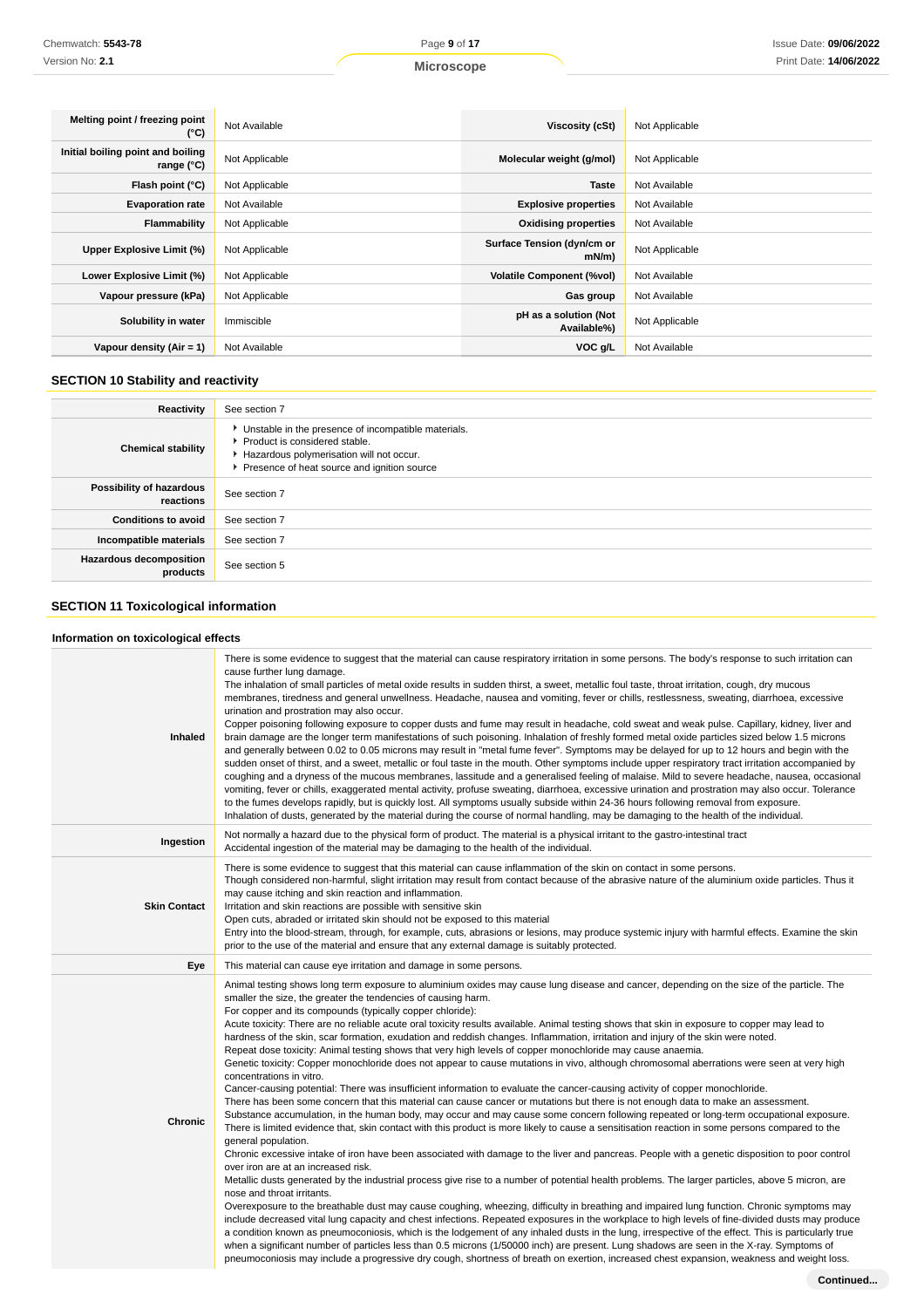| <b>Microscope</b> |  |
|-------------------|--|
|-------------------|--|

| Melting point / freezing point<br>(°C)                   | Not Available  | Viscosity (cSt)                        | Not Applicable |
|----------------------------------------------------------|----------------|----------------------------------------|----------------|
| Initial boiling point and boiling<br>range $(^{\circ}C)$ | Not Applicable | Molecular weight (g/mol)               | Not Applicable |
| Flash point (°C)                                         | Not Applicable | <b>Taste</b>                           | Not Available  |
| <b>Evaporation rate</b>                                  | Not Available  | <b>Explosive properties</b>            | Not Available  |
| Flammability                                             | Not Applicable | <b>Oxidising properties</b>            | Not Available  |
| Upper Explosive Limit (%)                                | Not Applicable | Surface Tension (dyn/cm or<br>$mN/m$ ) | Not Applicable |
| Lower Explosive Limit (%)                                | Not Applicable | <b>Volatile Component (%vol)</b>       | Not Available  |
| Vapour pressure (kPa)                                    | Not Applicable | Gas group                              | Not Available  |
| Solubility in water                                      | Immiscible     | pH as a solution (Not<br>Available%)   | Not Applicable |
| Vapour density (Air = 1)                                 | Not Available  | VOC g/L                                | Not Available  |

# **SECTION 10 Stability and reactivity**

| <b>Reactivity</b>                          | See section 7                                                                                                                                                                   |
|--------------------------------------------|---------------------------------------------------------------------------------------------------------------------------------------------------------------------------------|
| <b>Chemical stability</b>                  | Unstable in the presence of incompatible materials.<br>Product is considered stable.<br>Hazardous polymerisation will not occur.<br>Presence of heat source and ignition source |
| Possibility of hazardous<br>reactions      | See section 7                                                                                                                                                                   |
| <b>Conditions to avoid</b>                 | See section 7                                                                                                                                                                   |
| Incompatible materials                     | See section 7                                                                                                                                                                   |
| <b>Hazardous decomposition</b><br>products | See section 5                                                                                                                                                                   |

# **SECTION 11 Toxicological information**

# **Information on toxicological effects**

| Inhaled             | There is some evidence to suggest that the material can cause respiratory irritation in some persons. The body's response to such irritation can<br>cause further lung damage.<br>The inhalation of small particles of metal oxide results in sudden thirst, a sweet, metallic foul taste, throat irritation, cough, dry mucous<br>membranes, tiredness and general unwellness. Headache, nausea and vomiting, fever or chills, restlessness, sweating, diarrhoea, excessive<br>urination and prostration may also occur.<br>Copper poisoning following exposure to copper dusts and fume may result in headache, cold sweat and weak pulse. Capillary, kidney, liver and<br>brain damage are the longer term manifestations of such poisoning. Inhalation of freshly formed metal oxide particles sized below 1.5 microns<br>and generally between 0.02 to 0.05 microns may result in "metal fume fever". Symptoms may be delayed for up to 12 hours and begin with the<br>sudden onset of thirst, and a sweet, metallic or foul taste in the mouth. Other symptoms include upper respiratory tract irritation accompanied by<br>coughing and a dryness of the mucous membranes, lassitude and a generalised feeling of malaise. Mild to severe headache, nausea, occasional<br>vomiting, fever or chills, exaggerated mental activity, profuse sweating, diarrhoea, excessive urination and prostration may also occur. Tolerance<br>to the fumes develops rapidly, but is quickly lost. All symptoms usually subside within 24-36 hours following removal from exposure.<br>Inhalation of dusts, generated by the material during the course of normal handling, may be damaging to the health of the individual.                                                                                                                                                                                                                                                                                                                                                                                                                                                                                                                                                                                                                                                                                                                                                                                                                                                     |
|---------------------|--------------------------------------------------------------------------------------------------------------------------------------------------------------------------------------------------------------------------------------------------------------------------------------------------------------------------------------------------------------------------------------------------------------------------------------------------------------------------------------------------------------------------------------------------------------------------------------------------------------------------------------------------------------------------------------------------------------------------------------------------------------------------------------------------------------------------------------------------------------------------------------------------------------------------------------------------------------------------------------------------------------------------------------------------------------------------------------------------------------------------------------------------------------------------------------------------------------------------------------------------------------------------------------------------------------------------------------------------------------------------------------------------------------------------------------------------------------------------------------------------------------------------------------------------------------------------------------------------------------------------------------------------------------------------------------------------------------------------------------------------------------------------------------------------------------------------------------------------------------------------------------------------------------------------------------------------------------------------------------------------------------------------------------------------------------------------------------------------------------------------------------------------------------------------------------------------------------------------------------------------------------------------------------------------------------------------------------------------------------------------------------------------------------------------------------------------------------------------------------------------------------------------------------------------------------------------|
| Ingestion           | Not normally a hazard due to the physical form of product. The material is a physical irritant to the gastro-intestinal tract<br>Accidental ingestion of the material may be damaging to the health of the individual.                                                                                                                                                                                                                                                                                                                                                                                                                                                                                                                                                                                                                                                                                                                                                                                                                                                                                                                                                                                                                                                                                                                                                                                                                                                                                                                                                                                                                                                                                                                                                                                                                                                                                                                                                                                                                                                                                                                                                                                                                                                                                                                                                                                                                                                                                                                                                   |
| <b>Skin Contact</b> | There is some evidence to suggest that this material can cause inflammation of the skin on contact in some persons.<br>Though considered non-harmful, slight irritation may result from contact because of the abrasive nature of the aluminium oxide particles. Thus it<br>may cause itching and skin reaction and inflammation.<br>Irritation and skin reactions are possible with sensitive skin<br>Open cuts, abraded or irritated skin should not be exposed to this material<br>Entry into the blood-stream, through, for example, cuts, abrasions or lesions, may produce systemic injury with harmful effects. Examine the skin<br>prior to the use of the material and ensure that any external damage is suitably protected.                                                                                                                                                                                                                                                                                                                                                                                                                                                                                                                                                                                                                                                                                                                                                                                                                                                                                                                                                                                                                                                                                                                                                                                                                                                                                                                                                                                                                                                                                                                                                                                                                                                                                                                                                                                                                                   |
| Eye                 | This material can cause eye irritation and damage in some persons.                                                                                                                                                                                                                                                                                                                                                                                                                                                                                                                                                                                                                                                                                                                                                                                                                                                                                                                                                                                                                                                                                                                                                                                                                                                                                                                                                                                                                                                                                                                                                                                                                                                                                                                                                                                                                                                                                                                                                                                                                                                                                                                                                                                                                                                                                                                                                                                                                                                                                                       |
| <b>Chronic</b>      | Animal testing shows long term exposure to aluminium oxides may cause lung disease and cancer, depending on the size of the particle. The<br>smaller the size, the greater the tendencies of causing harm.<br>For copper and its compounds (typically copper chloride):<br>Acute toxicity: There are no reliable acute oral toxicity results available. Animal testing shows that skin in exposure to copper may lead to<br>hardness of the skin, scar formation, exudation and reddish changes. Inflammation, irritation and injury of the skin were noted.<br>Repeat dose toxicity: Animal testing shows that very high levels of copper monochloride may cause anaemia.<br>Genetic toxicity: Copper monochloride does not appear to cause mutations in vivo, although chromosomal aberrations were seen at very high<br>concentrations in vitro.<br>Cancer-causing potential: There was insufficient information to evaluate the cancer-causing activity of copper monochloride.<br>There has been some concern that this material can cause cancer or mutations but there is not enough data to make an assessment.<br>Substance accumulation, in the human body, may occur and may cause some concern following repeated or long-term occupational exposure.<br>There is limited evidence that, skin contact with this product is more likely to cause a sensitisation reaction in some persons compared to the<br>general population.<br>Chronic excessive intake of iron have been associated with damage to the liver and pancreas. People with a genetic disposition to poor control<br>over iron are at an increased risk.<br>Metallic dusts generated by the industrial process give rise to a number of potential health problems. The larger particles, above 5 micron, are<br>nose and throat irritants.<br>Overexposure to the breathable dust may cause coughing, wheezing, difficulty in breathing and impaired lung function. Chronic symptoms may<br>include decreased vital lung capacity and chest infections. Repeated exposures in the workplace to high levels of fine-divided dusts may produce<br>a condition known as pneumoconiosis, which is the lodgement of any inhaled dusts in the lung, irrespective of the effect. This is particularly true<br>when a significant number of particles less than 0.5 microns (1/50000 inch) are present. Lung shadows are seen in the X-ray. Symptoms of<br>pneumoconiosis may include a progressive dry cough, shortness of breath on exertion, increased chest expansion, weakness and weight loss. |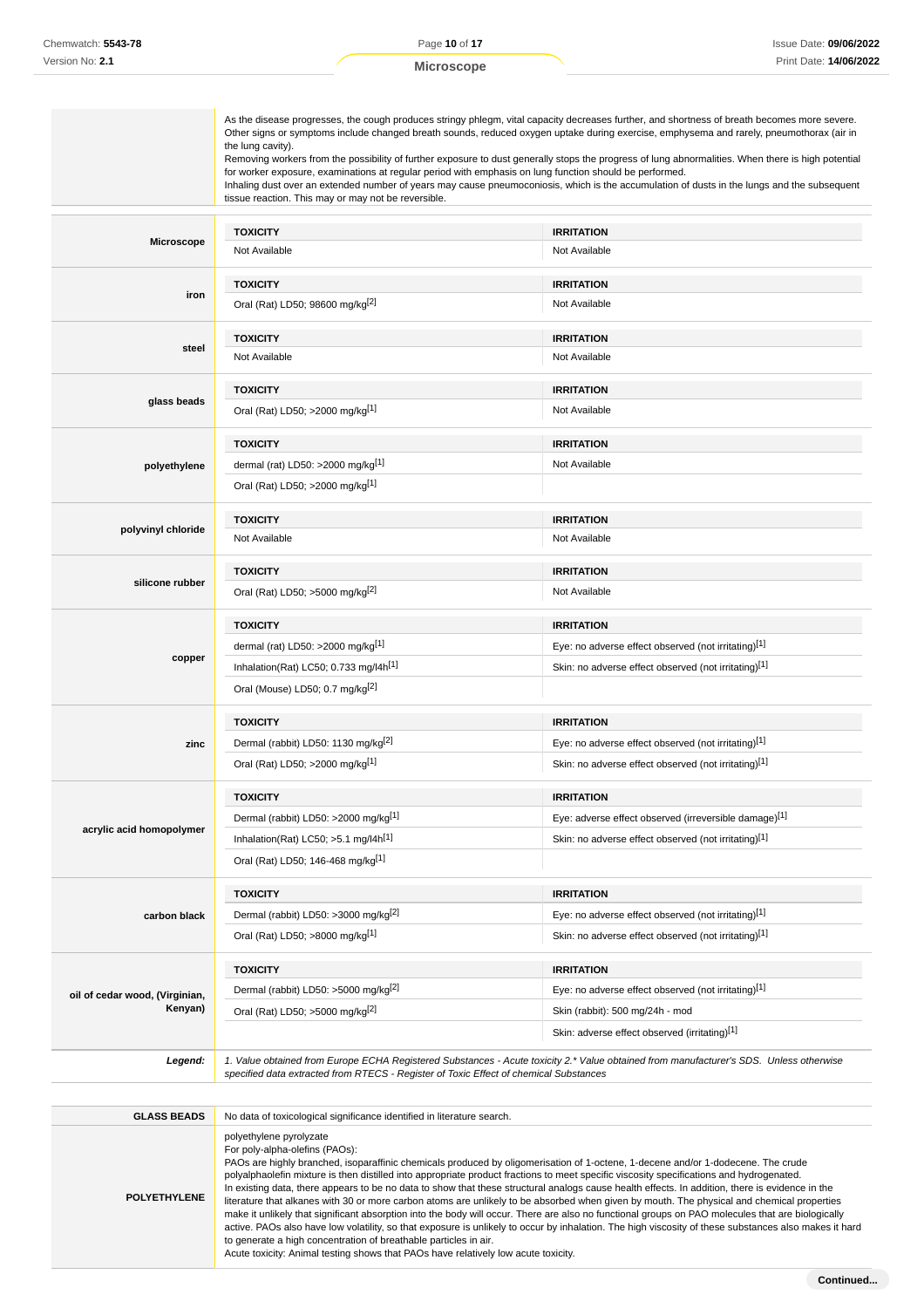|                                | the lung cavity).<br>for worker exposure, examinations at regular period with emphasis on lung function should be performed.<br>tissue reaction. This may or may not be reversible. | As the disease progresses, the cough produces stringy phlegm, vital capacity decreases further, and shortness of breath becomes more severe.<br>Other signs or symptoms include changed breath sounds, reduced oxygen uptake during exercise, emphysema and rarely, pneumothorax (air in<br>Removing workers from the possibility of further exposure to dust generally stops the progress of lung abnormalities. When there is high potential<br>Inhaling dust over an extended number of years may cause pneumoconiosis, which is the accumulation of dusts in the lungs and the subsequent |
|--------------------------------|-------------------------------------------------------------------------------------------------------------------------------------------------------------------------------------|-----------------------------------------------------------------------------------------------------------------------------------------------------------------------------------------------------------------------------------------------------------------------------------------------------------------------------------------------------------------------------------------------------------------------------------------------------------------------------------------------------------------------------------------------------------------------------------------------|
|                                | <b>TOXICITY</b>                                                                                                                                                                     | <b>IRRITATION</b>                                                                                                                                                                                                                                                                                                                                                                                                                                                                                                                                                                             |
| <b>Microscope</b>              | Not Available                                                                                                                                                                       | Not Available                                                                                                                                                                                                                                                                                                                                                                                                                                                                                                                                                                                 |
|                                |                                                                                                                                                                                     |                                                                                                                                                                                                                                                                                                                                                                                                                                                                                                                                                                                               |
| iron                           | <b>TOXICITY</b><br>Oral (Rat) LD50; 98600 mg/kg <sup>[2]</sup>                                                                                                                      | <b>IRRITATION</b><br>Not Available                                                                                                                                                                                                                                                                                                                                                                                                                                                                                                                                                            |
|                                |                                                                                                                                                                                     |                                                                                                                                                                                                                                                                                                                                                                                                                                                                                                                                                                                               |
| steel                          | <b>TOXICITY</b>                                                                                                                                                                     | <b>IRRITATION</b>                                                                                                                                                                                                                                                                                                                                                                                                                                                                                                                                                                             |
|                                | Not Available                                                                                                                                                                       | Not Available                                                                                                                                                                                                                                                                                                                                                                                                                                                                                                                                                                                 |
|                                | <b>TOXICITY</b>                                                                                                                                                                     | <b>IRRITATION</b>                                                                                                                                                                                                                                                                                                                                                                                                                                                                                                                                                                             |
| glass beads                    | Oral (Rat) LD50; >2000 mg/kg <sup>[1]</sup>                                                                                                                                         | Not Available                                                                                                                                                                                                                                                                                                                                                                                                                                                                                                                                                                                 |
|                                | <b>TOXICITY</b>                                                                                                                                                                     | <b>IRRITATION</b>                                                                                                                                                                                                                                                                                                                                                                                                                                                                                                                                                                             |
| polyethylene                   | dermal (rat) LD50: >2000 mg/kg[1]                                                                                                                                                   | Not Available                                                                                                                                                                                                                                                                                                                                                                                                                                                                                                                                                                                 |
|                                | Oral (Rat) LD50; >2000 mg/kg <sup>[1]</sup>                                                                                                                                         |                                                                                                                                                                                                                                                                                                                                                                                                                                                                                                                                                                                               |
|                                | <b>TOXICITY</b>                                                                                                                                                                     | <b>IRRITATION</b>                                                                                                                                                                                                                                                                                                                                                                                                                                                                                                                                                                             |
| polyvinyl chloride             | Not Available                                                                                                                                                                       | Not Available                                                                                                                                                                                                                                                                                                                                                                                                                                                                                                                                                                                 |
|                                | <b>TOXICITY</b>                                                                                                                                                                     | <b>IRRITATION</b>                                                                                                                                                                                                                                                                                                                                                                                                                                                                                                                                                                             |
| silicone rubber                | Oral (Rat) LD50; >5000 mg/kg <sup>[2]</sup>                                                                                                                                         | Not Available                                                                                                                                                                                                                                                                                                                                                                                                                                                                                                                                                                                 |
|                                | <b>TOXICITY</b>                                                                                                                                                                     | <b>IRRITATION</b>                                                                                                                                                                                                                                                                                                                                                                                                                                                                                                                                                                             |
|                                | dermal (rat) LD50: >2000 mg/kg <sup>[1]</sup>                                                                                                                                       | Eye: no adverse effect observed (not irritating)[1]                                                                                                                                                                                                                                                                                                                                                                                                                                                                                                                                           |
| copper                         | Inhalation(Rat) LC50; 0.733 mg/l4h[1]                                                                                                                                               | Skin: no adverse effect observed (not irritating)[1]                                                                                                                                                                                                                                                                                                                                                                                                                                                                                                                                          |
|                                | Oral (Mouse) LD50; 0.7 mg/kg <sup>[2]</sup>                                                                                                                                         |                                                                                                                                                                                                                                                                                                                                                                                                                                                                                                                                                                                               |
|                                | <b>TOXICITY</b>                                                                                                                                                                     | <b>IRRITATION</b>                                                                                                                                                                                                                                                                                                                                                                                                                                                                                                                                                                             |
| zinc                           | Dermal (rabbit) LD50: 1130 mg/kg <sup>[2]</sup>                                                                                                                                     | Eye: no adverse effect observed (not irritating)[1]                                                                                                                                                                                                                                                                                                                                                                                                                                                                                                                                           |
|                                | Oral (Rat) LD50; >2000 mg/kg[1]                                                                                                                                                     | Skin: no adverse effect observed (not irritating)[1]                                                                                                                                                                                                                                                                                                                                                                                                                                                                                                                                          |
|                                | <b>TOXICITY</b>                                                                                                                                                                     | <b>IRRITATION</b>                                                                                                                                                                                                                                                                                                                                                                                                                                                                                                                                                                             |
|                                | Dermal (rabbit) LD50: >2000 mg/kg[1]                                                                                                                                                | Eye: adverse effect observed (irreversible damage)[1]                                                                                                                                                                                                                                                                                                                                                                                                                                                                                                                                         |
| acrylic acid homopolymer       | Inhalation(Rat) LC50; $>5.1$ mg/l4h <sup>[1]</sup>                                                                                                                                  | Skin: no adverse effect observed (not irritating)[1]                                                                                                                                                                                                                                                                                                                                                                                                                                                                                                                                          |
|                                | Oral (Rat) LD50; 146-468 mg/kg[1]                                                                                                                                                   |                                                                                                                                                                                                                                                                                                                                                                                                                                                                                                                                                                                               |
|                                | <b>TOXICITY</b>                                                                                                                                                                     | <b>IRRITATION</b>                                                                                                                                                                                                                                                                                                                                                                                                                                                                                                                                                                             |
| carbon black                   | Dermal (rabbit) LD50: >3000 mg/kg <sup>[2]</sup>                                                                                                                                    | Eye: no adverse effect observed (not irritating)[1]                                                                                                                                                                                                                                                                                                                                                                                                                                                                                                                                           |
|                                | Oral (Rat) LD50; >8000 mg/kg[1]                                                                                                                                                     | Skin: no adverse effect observed (not irritating)[1]                                                                                                                                                                                                                                                                                                                                                                                                                                                                                                                                          |
|                                | <b>TOXICITY</b>                                                                                                                                                                     | <b>IRRITATION</b>                                                                                                                                                                                                                                                                                                                                                                                                                                                                                                                                                                             |
| oil of cedar wood, (Virginian, | Dermal (rabbit) LD50: >5000 mg/kg <sup>[2]</sup>                                                                                                                                    | Eye: no adverse effect observed (not irritating)[1]                                                                                                                                                                                                                                                                                                                                                                                                                                                                                                                                           |
| Kenyan)                        | Oral (Rat) LD50; >5000 mg/kg <sup>[2]</sup>                                                                                                                                         | Skin (rabbit): 500 mg/24h - mod                                                                                                                                                                                                                                                                                                                                                                                                                                                                                                                                                               |
|                                |                                                                                                                                                                                     | Skin: adverse effect observed (irritating)[1]                                                                                                                                                                                                                                                                                                                                                                                                                                                                                                                                                 |
| Legend:                        | specified data extracted from RTECS - Register of Toxic Effect of chemical Substances                                                                                               | 1. Value obtained from Europe ECHA Registered Substances - Acute toxicity 2.* Value obtained from manufacturer's SDS. Unless otherwise                                                                                                                                                                                                                                                                                                                                                                                                                                                        |
|                                |                                                                                                                                                                                     |                                                                                                                                                                                                                                                                                                                                                                                                                                                                                                                                                                                               |
| <b>GLASS BEADS</b>             | No data of toxicological significance identified in literature search.                                                                                                              |                                                                                                                                                                                                                                                                                                                                                                                                                                                                                                                                                                                               |
|                                | polyethylene pyrolyzate<br>For poly-alpha-olefins (PAOs):                                                                                                                           |                                                                                                                                                                                                                                                                                                                                                                                                                                                                                                                                                                                               |

**POLYETHYLENE** PAOs are highly branched, isoparaffinic chemicals produced by oligomerisation of 1-octene, 1-decene and/or 1-dodecene. The crude polyalphaolefin mixture is then distilled into appropriate product fractions to meet specific viscosity specifications and hydrogenated. In existing data, there appears to be no data to show that these structural analogs cause health effects. In addition, there is evidence in the literature that alkanes with 30 or more carbon atoms are unlikely to be absorbed when given by mouth. The physical and chemical properties make it unlikely that significant absorption into the body will occur. There are also no functional groups on PAO molecules that are biologically active. PAOs also have low volatility, so that exposure is unlikely to occur by inhalation. The high viscosity of these substances also makes it hard to generate a high concentration of breathable particles in air. Acute toxicity: Animal testing shows that PAOs have relatively low acute toxicity.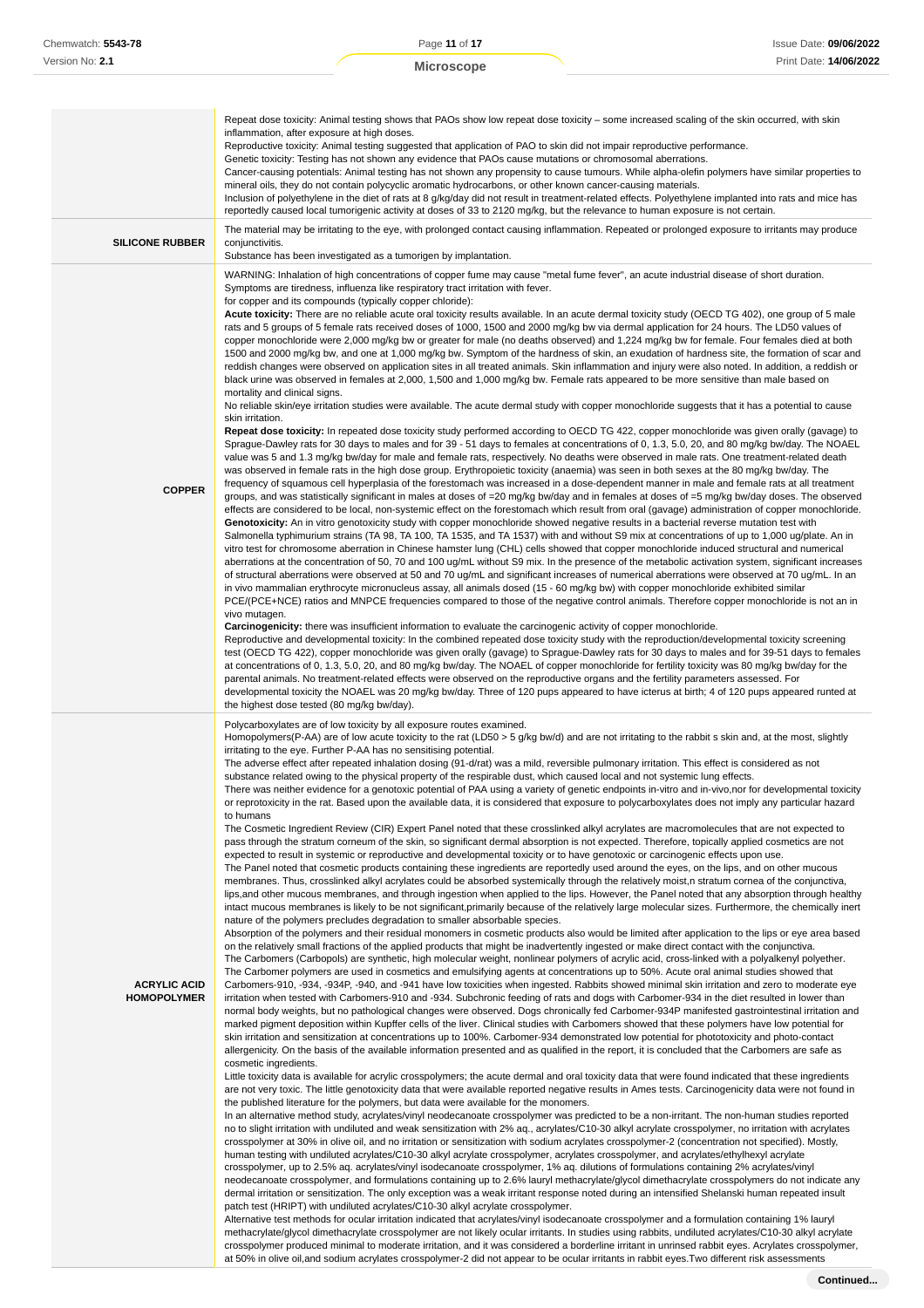|                                           | Repeat dose toxicity: Animal testing shows that PAOs show low repeat dose toxicity – some increased scaling of the skin occurred, with skin<br>inflammation, after exposure at high doses.<br>Reproductive toxicity: Animal testing suggested that application of PAO to skin did not impair reproductive performance.<br>Genetic toxicity: Testing has not shown any evidence that PAOs cause mutations or chromosomal aberrations.<br>Cancer-causing potentials: Animal testing has not shown any propensity to cause tumours. While alpha-olefin polymers have similar properties to<br>mineral oils, they do not contain polycyclic aromatic hydrocarbons, or other known cancer-causing materials.<br>Inclusion of polyethylene in the diet of rats at 8 g/kg/day did not result in treatment-related effects. Polyethylene implanted into rats and mice has<br>reportedly caused local tumorigenic activity at doses of 33 to 2120 mg/kg, but the relevance to human exposure is not certain.                                                                                                                                                                                                                                                                                                                                                                                                                                                                                                                                                                                                                                                                                                                                                                                                                                                                                                                                                                                                                                                                                                                                                                                                                                                                                                                                                                                                                                                                                                                                                                                                                                                                                                                                                                                                                                                                                                                                                                                                                                                                                                                                                                                                                                                                                                                                                                                                                                                                                                                                                                                                                                                                                                                                                                                                                                                                                                                                                                                                                                                                                                                                                                                                                                                                                                                                                                                                                                                                                                                                                                                                                                                                                                                                                                                                                                                                                                                                                                                                                                                                                                                                                                                                                                                                                                                                                                                                                                                                                                                                                                                                                                                                                                                                      |
|-------------------------------------------|------------------------------------------------------------------------------------------------------------------------------------------------------------------------------------------------------------------------------------------------------------------------------------------------------------------------------------------------------------------------------------------------------------------------------------------------------------------------------------------------------------------------------------------------------------------------------------------------------------------------------------------------------------------------------------------------------------------------------------------------------------------------------------------------------------------------------------------------------------------------------------------------------------------------------------------------------------------------------------------------------------------------------------------------------------------------------------------------------------------------------------------------------------------------------------------------------------------------------------------------------------------------------------------------------------------------------------------------------------------------------------------------------------------------------------------------------------------------------------------------------------------------------------------------------------------------------------------------------------------------------------------------------------------------------------------------------------------------------------------------------------------------------------------------------------------------------------------------------------------------------------------------------------------------------------------------------------------------------------------------------------------------------------------------------------------------------------------------------------------------------------------------------------------------------------------------------------------------------------------------------------------------------------------------------------------------------------------------------------------------------------------------------------------------------------------------------------------------------------------------------------------------------------------------------------------------------------------------------------------------------------------------------------------------------------------------------------------------------------------------------------------------------------------------------------------------------------------------------------------------------------------------------------------------------------------------------------------------------------------------------------------------------------------------------------------------------------------------------------------------------------------------------------------------------------------------------------------------------------------------------------------------------------------------------------------------------------------------------------------------------------------------------------------------------------------------------------------------------------------------------------------------------------------------------------------------------------------------------------------------------------------------------------------------------------------------------------------------------------------------------------------------------------------------------------------------------------------------------------------------------------------------------------------------------------------------------------------------------------------------------------------------------------------------------------------------------------------------------------------------------------------------------------------------------------------------------------------------------------------------------------------------------------------------------------------------------------------------------------------------------------------------------------------------------------------------------------------------------------------------------------------------------------------------------------------------------------------------------------------------------------------------------------------------------------------------------------------------------------------------------------------------------------------------------------------------------------------------------------------------------------------------------------------------------------------------------------------------------------------------------------------------------------------------------------------------------------------------------------------------------------------------------------------------------------------------------------------------------------------------------------------------------------------------------------------------------------------------------------------------------------------------------------------------------------------------------------------------------------------------------------------------------------------------------------------------------------------------------------------------------------------------------------------------------------------------------------------------------------------|
| <b>SILICONE RUBBER</b>                    | The material may be irritating to the eye, with prolonged contact causing inflammation. Repeated or prolonged exposure to irritants may produce<br>conjunctivitis.<br>Substance has been investigated as a tumorigen by implantation.                                                                                                                                                                                                                                                                                                                                                                                                                                                                                                                                                                                                                                                                                                                                                                                                                                                                                                                                                                                                                                                                                                                                                                                                                                                                                                                                                                                                                                                                                                                                                                                                                                                                                                                                                                                                                                                                                                                                                                                                                                                                                                                                                                                                                                                                                                                                                                                                                                                                                                                                                                                                                                                                                                                                                                                                                                                                                                                                                                                                                                                                                                                                                                                                                                                                                                                                                                                                                                                                                                                                                                                                                                                                                                                                                                                                                                                                                                                                                                                                                                                                                                                                                                                                                                                                                                                                                                                                                                                                                                                                                                                                                                                                                                                                                                                                                                                                                                                                                                                                                                                                                                                                                                                                                                                                                                                                                                                                                                                                                                    |
| <b>COPPER</b>                             | WARNING: Inhalation of high concentrations of copper fume may cause "metal fume fever", an acute industrial disease of short duration.<br>Symptoms are tiredness, influenza like respiratory tract irritation with fever.<br>for copper and its compounds (typically copper chloride):<br>Acute toxicity: There are no reliable acute oral toxicity results available. In an acute dermal toxicity study (OECD TG 402), one group of 5 male<br>rats and 5 groups of 5 female rats received doses of 1000, 1500 and 2000 mg/kg bw via dermal application for 24 hours. The LD50 values of<br>copper monochloride were 2,000 mg/kg bw or greater for male (no deaths observed) and 1,224 mg/kg bw for female. Four females died at both<br>1500 and 2000 mg/kg bw, and one at 1,000 mg/kg bw. Symptom of the hardness of skin, an exudation of hardness site, the formation of scar and<br>reddish changes were observed on application sites in all treated animals. Skin inflammation and injury were also noted. In addition, a reddish or<br>black urine was observed in females at 2,000, 1,500 and 1,000 mg/kg bw. Female rats appeared to be more sensitive than male based on<br>mortality and clinical signs.<br>No reliable skin/eye irritation studies were available. The acute dermal study with copper monochloride suggests that it has a potential to cause<br>skin irritation.<br>Repeat dose toxicity: In repeated dose toxicity study performed according to OECD TG 422, copper monochloride was given orally (gavage) to<br>Sprague-Dawley rats for 30 days to males and for 39 - 51 days to females at concentrations of 0, 1.3, 5.0, 20, and 80 mg/kg bw/day. The NOAEL<br>value was 5 and 1.3 mg/kg bw/day for male and female rats, respectively. No deaths were observed in male rats. One treatment-related death<br>was observed in female rats in the high dose group. Erythropoietic toxicity (anaemia) was seen in both sexes at the 80 mg/kg bw/day. The<br>frequency of squamous cell hyperplasia of the forestomach was increased in a dose-dependent manner in male and female rats at all treatment<br>groups, and was statistically significant in males at doses of =20 mg/kg bw/day and in females at doses of =5 mg/kg bw/day doses. The observed<br>effects are considered to be local, non-systemic effect on the forestomach which result from oral (gavage) administration of copper monochloride.<br>Genotoxicity: An in vitro genotoxicity study with copper monochloride showed negative results in a bacterial reverse mutation test with<br>Salmonella typhimurium strains (TA 98, TA 100, TA 1535, and TA 1537) with and without S9 mix at concentrations of up to 1,000 ug/plate. An in<br>vitro test for chromosome aberration in Chinese hamster lung (CHL) cells showed that copper monochloride induced structural and numerical<br>aberrations at the concentration of 50, 70 and 100 ug/mL without S9 mix. In the presence of the metabolic activation system, significant increases<br>of structural aberrations were observed at 50 and 70 ug/mL and significant increases of numerical aberrations were observed at 70 ug/mL. In an<br>in vivo mammalian erythrocyte micronucleus assay, all animals dosed (15 - 60 mg/kg bw) with copper monochloride exhibited similar<br>PCE/(PCE+NCE) ratios and MNPCE frequencies compared to those of the negative control animals. Therefore copper monochloride is not an in<br>vivo mutagen.<br><b>Carcinogenicity:</b> there was insufficient information to evaluate the carcinogenic activity of copper monochloride.<br>Reproductive and developmental toxicity: In the combined repeated dose toxicity study with the reproduction/developmental toxicity screening<br>test (OECD TG 422), copper monochloride was given orally (gavage) to Sprague-Dawley rats for 30 days to males and for 39-51 days to females<br>at concentrations of 0, 1.3, 5.0, 20, and 80 mg/kg bw/day. The NOAEL of copper monochloride for fertility toxicity was 80 mg/kg bw/day for the<br>parental animals. No treatment-related effects were observed on the reproductive organs and the fertility parameters assessed. For<br>developmental toxicity the NOAEL was 20 mg/kg bw/day. Three of 120 pups appeared to have icterus at birth; 4 of 120 pups appeared runted at<br>the highest dose tested (80 mg/kg bw/day).                                                                                                                                                                                                                                                                                                                                                                                                                                                                                                                                                                                                                                                                                                                                                                                                                                                                                                                                                                                                                                                                                                                                                                                                                                                                                                                          |
| <b>ACRYLIC ACID</b><br><b>HOMOPOLYMER</b> | Polycarboxylates are of low toxicity by all exposure routes examined.<br>Homopolymers(P-AA) are of low acute toxicity to the rat (LD50 > 5 g/kg bw/d) and are not irritating to the rabbit s skin and, at the most, slightly<br>irritating to the eye. Further P-AA has no sensitising potential.<br>The adverse effect after repeated inhalation dosing (91-d/rat) was a mild, reversible pulmonary irritation. This effect is considered as not<br>substance related owing to the physical property of the respirable dust, which caused local and not systemic lung effects.<br>There was neither evidence for a genotoxic potential of PAA using a variety of genetic endpoints in-vitro and in-vivo,nor for developmental toxicity<br>or reprotoxicity in the rat. Based upon the available data, it is considered that exposure to polycarboxylates does not imply any particular hazard<br>to humans<br>The Cosmetic Ingredient Review (CIR) Expert Panel noted that these crosslinked alkyl acrylates are macromolecules that are not expected to<br>pass through the stratum corneum of the skin, so significant dermal absorption is not expected. Therefore, topically applied cosmetics are not<br>expected to result in systemic or reproductive and developmental toxicity or to have genotoxic or carcinogenic effects upon use.<br>The Panel noted that cosmetic products containing these ingredients are reportedly used around the eyes, on the lips, and on other mucous<br>membranes. Thus, crosslinked alkyl acrylates could be absorbed systemically through the relatively moist, n stratum cornea of the conjunctiva,<br>lips, and other mucous membranes, and through ingestion when applied to the lips. However, the Panel noted that any absorption through healthy<br>intact mucous membranes is likely to be not significant, primarily because of the relatively large molecular sizes. Furthermore, the chemically inert<br>nature of the polymers precludes degradation to smaller absorbable species.<br>Absorption of the polymers and their residual monomers in cosmetic products also would be limited after application to the lips or eye area based<br>on the relatively small fractions of the applied products that might be inadvertently ingested or make direct contact with the conjunctiva.<br>The Carbomers (Carbopols) are synthetic, high molecular weight, nonlinear polymers of acrylic acid, cross-linked with a polyalkenyl polyether.<br>The Carbomer polymers are used in cosmetics and emulsifying agents at concentrations up to 50%. Acute oral animal studies showed that<br>Carbomers-910, -934, -934P, -940, and -941 have low toxicities when ingested. Rabbits showed minimal skin irritation and zero to moderate eye<br>irritation when tested with Carbomers-910 and -934. Subchronic feeding of rats and dogs with Carbomer-934 in the diet resulted in lower than<br>normal body weights, but no pathological changes were observed. Dogs chronically fed Carbomer-934P manifested gastrointestinal irritation and<br>marked pigment deposition within Kupffer cells of the liver. Clinical studies with Carbomers showed that these polymers have low potential for<br>skin irritation and sensitization at concentrations up to 100%. Carbomer-934 demonstrated low potential for phototoxicity and photo-contact<br>allergenicity. On the basis of the available information presented and as qualified in the report, it is concluded that the Carbomers are safe as<br>cosmetic ingredients.<br>Little toxicity data is available for acrylic crosspolymers; the acute dermal and oral toxicity data that were found indicated that these ingredients<br>are not very toxic. The little genotoxicity data that were available reported negative results in Ames tests. Carcinogenicity data were not found in<br>the published literature for the polymers, but data were available for the monomers.<br>In an alternative method study, acrylates/vinyl neodecanoate crosspolymer was predicted to be a non-irritant. The non-human studies reported<br>no to slight irritation with undiluted and weak sensitization with 2% aq., acrylates/C10-30 alkyl acrylate crosspolymer, no irritation with acrylates<br>crosspolymer at 30% in olive oil, and no irritation or sensitization with sodium acrylates crosspolymer-2 (concentration not specified). Mostly,<br>human testing with undiluted acrylates/C10-30 alkyl acrylate crosspolymer, acrylates crosspolymer, and acrylates/ethylhexyl acrylate<br>crosspolymer, up to 2.5% aq. acrylates/vinyl isodecanoate crosspolymer, 1% aq. dilutions of formulations containing 2% acrylates/vinyl<br>neodecanoate crosspolymer, and formulations containing up to 2.6% lauryl methacrylate/glycol dimethacrylate crosspolymers do not indicate any<br>dermal irritation or sensitization. The only exception was a weak irritant response noted during an intensified Shelanski human repeated insult<br>patch test (HRIPT) with undiluted acrylates/C10-30 alkyl acrylate crosspolymer.<br>Alternative test methods for ocular irritation indicated that acrylates/vinyl isodecanoate crosspolymer and a formulation containing 1% lauryl<br>methacrylate/glycol dimethacrylate crosspolymer are not likely ocular irritants. In studies using rabbits, undiluted acrylates/C10-30 alkyl acrylate<br>crosspolymer produced minimal to moderate irritation, and it was considered a borderline irritant in unrinsed rabbit eyes. Acrylates crosspolymer,<br>at 50% in olive oil, and sodium acrylates crosspolymer-2 did not appear to be ocular irritants in rabbit eyes. Two different risk assessments |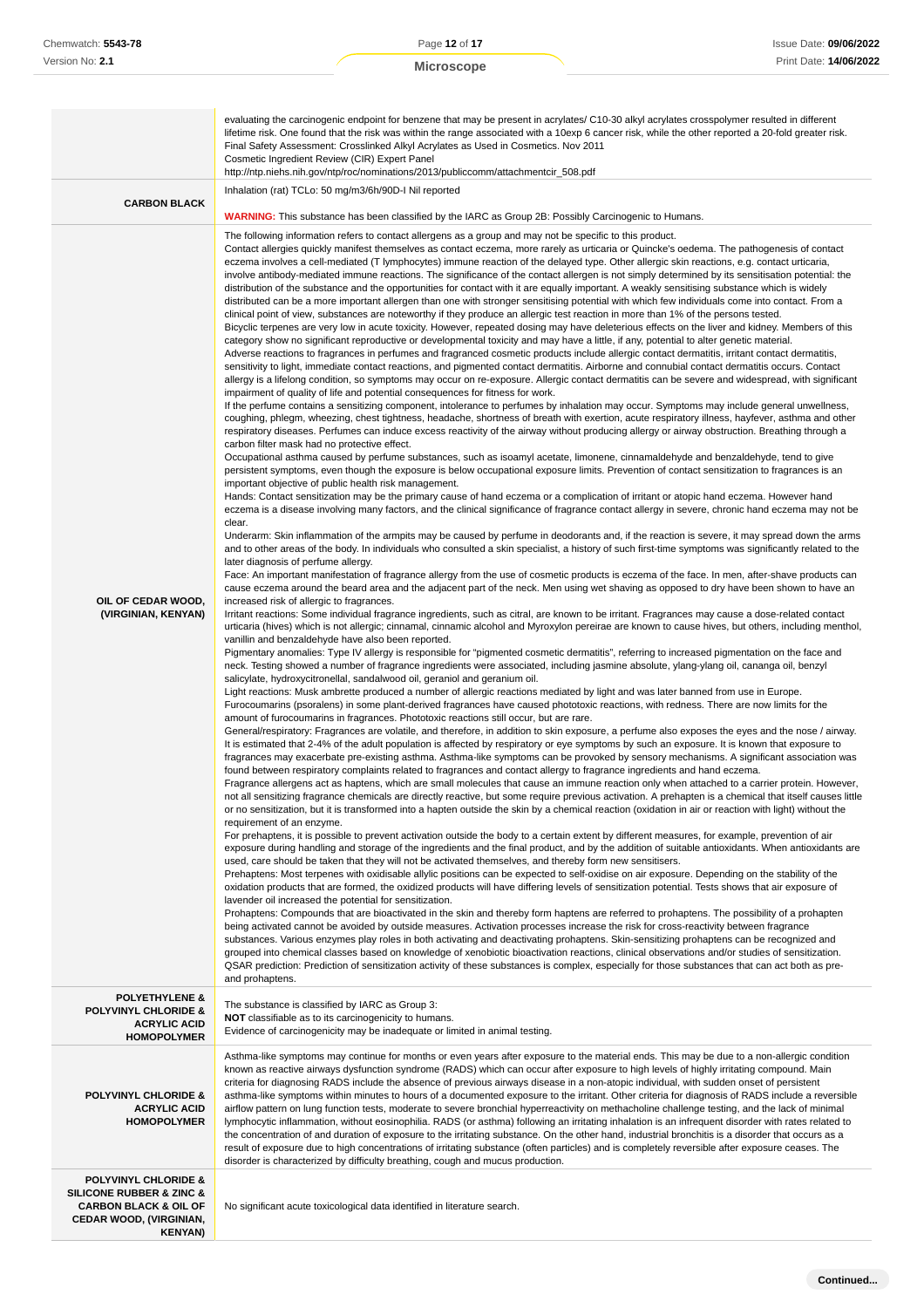# **Microscope**

| Chemwatch: 5543-78                                                                                                                                                 | Page 12 of 17                                                                                                                                                                                                                                                                                                                                                                                                                                                                                                                                                                                                                                                                                                                                                                                                                                                                                                                                                                                                                                                                                                                                                                                                                                                                                                                                                                                                                                                                                                                                                                                                                                                                                                                                                                                                                                                                                                                                                                                                                                                                                                                                                                                                                                                                                                                                                                                                                                                                                                                                                                                                                                                                                                                                                                                                                                                                                                                                                                                                                                                                                                                                                                                                                                                                                                                                                                                                                                                                                                                                                                                                                                                                                                                                                                                                                                                                                                                                                                                                                                                                                                                                                                                                                                                                                                                                                                                                                                                                                                                                                                                                                                                                                                                                                                                                                                                                                                                                                                                                                                                                                                                                                                                                                                                                                                                                                                                                                                                                                                                                                                                                                                                                                                                                                                                                                                                                                                                                                                                                                                                                                                                                                                                                                                                                                                                                                                                                                                                                                                                                                                                                                                                                                                                                                                                                                                                                                                                                               | Issue Date: 09/06/2022 |
|--------------------------------------------------------------------------------------------------------------------------------------------------------------------|-------------------------------------------------------------------------------------------------------------------------------------------------------------------------------------------------------------------------------------------------------------------------------------------------------------------------------------------------------------------------------------------------------------------------------------------------------------------------------------------------------------------------------------------------------------------------------------------------------------------------------------------------------------------------------------------------------------------------------------------------------------------------------------------------------------------------------------------------------------------------------------------------------------------------------------------------------------------------------------------------------------------------------------------------------------------------------------------------------------------------------------------------------------------------------------------------------------------------------------------------------------------------------------------------------------------------------------------------------------------------------------------------------------------------------------------------------------------------------------------------------------------------------------------------------------------------------------------------------------------------------------------------------------------------------------------------------------------------------------------------------------------------------------------------------------------------------------------------------------------------------------------------------------------------------------------------------------------------------------------------------------------------------------------------------------------------------------------------------------------------------------------------------------------------------------------------------------------------------------------------------------------------------------------------------------------------------------------------------------------------------------------------------------------------------------------------------------------------------------------------------------------------------------------------------------------------------------------------------------------------------------------------------------------------------------------------------------------------------------------------------------------------------------------------------------------------------------------------------------------------------------------------------------------------------------------------------------------------------------------------------------------------------------------------------------------------------------------------------------------------------------------------------------------------------------------------------------------------------------------------------------------------------------------------------------------------------------------------------------------------------------------------------------------------------------------------------------------------------------------------------------------------------------------------------------------------------------------------------------------------------------------------------------------------------------------------------------------------------------------------------------------------------------------------------------------------------------------------------------------------------------------------------------------------------------------------------------------------------------------------------------------------------------------------------------------------------------------------------------------------------------------------------------------------------------------------------------------------------------------------------------------------------------------------------------------------------------------------------------------------------------------------------------------------------------------------------------------------------------------------------------------------------------------------------------------------------------------------------------------------------------------------------------------------------------------------------------------------------------------------------------------------------------------------------------------------------------------------------------------------------------------------------------------------------------------------------------------------------------------------------------------------------------------------------------------------------------------------------------------------------------------------------------------------------------------------------------------------------------------------------------------------------------------------------------------------------------------------------------------------------------------------------------------------------------------------------------------------------------------------------------------------------------------------------------------------------------------------------------------------------------------------------------------------------------------------------------------------------------------------------------------------------------------------------------------------------------------------------------------------------------------------------------------------------------------------------------------------------------------------------------------------------------------------------------------------------------------------------------------------------------------------------------------------------------------------------------------------------------------------------------------------------------------------------------------------------------------------------------------------------------------------------------------------------------------------------------------------------------------------------------------------------------------------------------------------------------------------------------------------------------------------------------------------------------------------------------------------------------------------------------------------------------------------------------------------------------------------------------------------------------------------------------------------------------------------------------|------------------------|
|                                                                                                                                                                    |                                                                                                                                                                                                                                                                                                                                                                                                                                                                                                                                                                                                                                                                                                                                                                                                                                                                                                                                                                                                                                                                                                                                                                                                                                                                                                                                                                                                                                                                                                                                                                                                                                                                                                                                                                                                                                                                                                                                                                                                                                                                                                                                                                                                                                                                                                                                                                                                                                                                                                                                                                                                                                                                                                                                                                                                                                                                                                                                                                                                                                                                                                                                                                                                                                                                                                                                                                                                                                                                                                                                                                                                                                                                                                                                                                                                                                                                                                                                                                                                                                                                                                                                                                                                                                                                                                                                                                                                                                                                                                                                                                                                                                                                                                                                                                                                                                                                                                                                                                                                                                                                                                                                                                                                                                                                                                                                                                                                                                                                                                                                                                                                                                                                                                                                                                                                                                                                                                                                                                                                                                                                                                                                                                                                                                                                                                                                                                                                                                                                                                                                                                                                                                                                                                                                                                                                                                                                                                                                                             |                        |
|                                                                                                                                                                    |                                                                                                                                                                                                                                                                                                                                                                                                                                                                                                                                                                                                                                                                                                                                                                                                                                                                                                                                                                                                                                                                                                                                                                                                                                                                                                                                                                                                                                                                                                                                                                                                                                                                                                                                                                                                                                                                                                                                                                                                                                                                                                                                                                                                                                                                                                                                                                                                                                                                                                                                                                                                                                                                                                                                                                                                                                                                                                                                                                                                                                                                                                                                                                                                                                                                                                                                                                                                                                                                                                                                                                                                                                                                                                                                                                                                                                                                                                                                                                                                                                                                                                                                                                                                                                                                                                                                                                                                                                                                                                                                                                                                                                                                                                                                                                                                                                                                                                                                                                                                                                                                                                                                                                                                                                                                                                                                                                                                                                                                                                                                                                                                                                                                                                                                                                                                                                                                                                                                                                                                                                                                                                                                                                                                                                                                                                                                                                                                                                                                                                                                                                                                                                                                                                                                                                                                                                                                                                                                                             |                        |
| Version No: 2.1<br><b>CARBON BLACK</b><br>OIL OF CEDAR WOOD,<br>(VIRGINIAN, KENYAN)                                                                                | <b>Microscope</b><br>evaluating the carcinogenic endpoint for benzene that may be present in acrylates/ C10-30 alkyl acrylates crosspolymer resulted in different<br>lifetime risk. One found that the risk was within the range associated with a 10exp 6 cancer risk, while the other reported a 20-fold greater risk.<br>Final Safety Assessment: Crosslinked Alkyl Acrylates as Used in Cosmetics. Nov 2011<br>Cosmetic Ingredient Review (CIR) Expert Panel<br>http://ntp.niehs.nih.gov/ntp/roc/nominations/2013/publiccomm/attachmentcir_508.pdf<br>Inhalation (rat) TCLo: 50 mg/m3/6h/90D-I Nil reported<br><b>WARNING:</b> This substance has been classified by the IARC as Group 2B: Possibly Carcinogenic to Humans.<br>The following information refers to contact allergens as a group and may not be specific to this product.<br>Contact allergies quickly manifest themselves as contact eczema, more rarely as urticaria or Quincke's oedema. The pathogenesis of contact<br>eczema involves a cell-mediated (T lymphocytes) immune reaction of the delayed type. Other allergic skin reactions, e.g. contact urticaria,<br>involve antibody-mediated immune reactions. The significance of the contact allergen is not simply determined by its sensitisation potential: the<br>distribution of the substance and the opportunities for contact with it are equally important. A weakly sensitising substance which is widely<br>distributed can be a more important allergen than one with stronger sensitising potential with which few individuals come into contact. From a<br>clinical point of view, substances are noteworthy if they produce an allergic test reaction in more than 1% of the persons tested.<br>Bicyclic terpenes are very low in acute toxicity. However, repeated dosing may have deleterious effects on the liver and kidney. Members of this<br>category show no significant reproductive or developmental toxicity and may have a little, if any, potential to alter genetic material.<br>Adverse reactions to fragrances in perfumes and fragranced cosmetic products include allergic contact dermatitis, irritant contact dermatitis,<br>sensitivity to light, immediate contact reactions, and pigmented contact dermatitis. Airborne and connubial contact dermatitis occurs. Contact<br>allergy is a lifelong condition, so symptoms may occur on re-exposure. Allergic contact dermatitis can be severe and widespread, with significant<br>impairment of quality of life and potential consequences for fitness for work.<br>If the perfume contains a sensitizing component, intolerance to perfumes by inhalation may occur. Symptoms may include general unwellness,<br>coughing, phlegm, wheezing, chest tightness, headache, shortness of breath with exertion, acute respiratory illness, hayfever, asthma and other<br>respiratory diseases. Perfumes can induce excess reactivity of the airway without producing allergy or airway obstruction. Breathing through a<br>carbon filter mask had no protective effect.<br>Occupational asthma caused by perfume substances, such as isoamyl acetate, limonene, cinnamaldehyde and benzaldehyde, tend to give<br>persistent symptoms, even though the exposure is below occupational exposure limits. Prevention of contact sensitization to fragrances is an<br>important objective of public health risk management.<br>Hands: Contact sensitization may be the primary cause of hand eczema or a complication of irritant or atopic hand eczema. However hand<br>eczema is a disease involving many factors, and the clinical significance of fragrance contact allergy in severe, chronic hand eczema may not be<br>clear.<br>Underarm: Skin inflammation of the armpits may be caused by perfume in deodorants and, if the reaction is severe, it may spread down the arms<br>and to other areas of the body. In individuals who consulted a skin specialist, a history of such first-time symptoms was significantly related to the<br>later diagnosis of perfume allergy.<br>Face: An important manifestation of fragrance allergy from the use of cosmetic products is eczema of the face. In men, after-shave products can<br>cause eczema around the beard area and the adjacent part of the neck. Men using wet shaving as opposed to dry have been shown to have an<br>increased risk of allergic to fragrances.<br>Irritant reactions: Some individual fragrance ingredients, such as citral, are known to be irritant. Fragrances may cause a dose-related contact<br>urticaria (hives) which is not allergic; cinnamal, cinnamic alcohol and Myroxylon pereirae are known to cause hives, but others, including menthol,<br>vanillin and benzaldehyde have also been reported.<br>Pigmentary anomalies: Type IV allergy is responsible for "pigmented cosmetic dermatitis", referring to increased pigmentation on the face and<br>neck. Testing showed a number of fragrance ingredients were associated, including jasmine absolute, ylang-ylang oil, cananga oil, benzyl<br>salicylate, hydroxycitronellal, sandalwood oil, geraniol and geranium oil.<br>Light reactions: Musk ambrette produced a number of allergic reactions mediated by light and was later banned from use in Europe.<br>Furocoumarins (psoralens) in some plant-derived fragrances have caused phototoxic reactions, with redness. There are now limits for the<br>amount of furocoumarins in fragrances. Phototoxic reactions still occur, but are rare.<br>General/respiratory: Fragrances are volatile, and therefore, in addition to skin exposure, a perfume also exposes the eyes and the nose / airway.<br>It is estimated that 2-4% of the adult population is affected by respiratory or eye symptoms by such an exposure. It is known that exposure to<br>fragrances may exacerbate pre-existing asthma. Asthma-like symptoms can be provoked by sensory mechanisms. A significant association was<br>found between respiratory complaints related to fragrances and contact allergy to fragrance ingredients and hand eczema.<br>Fragrance allergens act as haptens, which are small molecules that cause an immune reaction only when attached to a carrier protein. However,<br>not all sensitizing fragrance chemicals are directly reactive, but some require previous activation. A prehapten is a chemical that itself causes little<br>or no sensitization, but it is transformed into a hapten outside the skin by a chemical reaction (oxidation in air or reaction with light) without the<br>requirement of an enzyme.<br>For prehaptens, it is possible to prevent activation outside the body to a certain extent by different measures, for example, prevention of air<br>exposure during handling and storage of the ingredients and the final product, and by the addition of suitable antioxidants. When antioxidants are | Print Date: 14/06/2022 |
|                                                                                                                                                                    | used, care should be taken that they will not be activated themselves, and thereby form new sensitisers.<br>Prehaptens: Most terpenes with oxidisable allylic positions can be expected to self-oxidise on air exposure. Depending on the stability of the<br>oxidation products that are formed, the oxidized products will have differing levels of sensitization potential. Tests shows that air exposure of<br>lavender oil increased the potential for sensitization.<br>Prohaptens: Compounds that are bioactivated in the skin and thereby form haptens are referred to prohaptens. The possibility of a prohapten<br>being activated cannot be avoided by outside measures. Activation processes increase the risk for cross-reactivity between fragrance<br>substances. Various enzymes play roles in both activating and deactivating prohaptens. Skin-sensitizing prohaptens can be recognized and<br>grouped into chemical classes based on knowledge of xenobiotic bioactivation reactions, clinical observations and/or studies of sensitization.<br>QSAR prediction: Prediction of sensitization activity of these substances is complex, especially for those substances that can act both as pre-<br>and prohaptens.                                                                                                                                                                                                                                                                                                                                                                                                                                                                                                                                                                                                                                                                                                                                                                                                                                                                                                                                                                                                                                                                                                                                                                                                                                                                                                                                                                                                                                                                                                                                                                                                                                                                                                                                                                                                                                                                                                                                                                                                                                                                                                                                                                                                                                                                                                                                                                                                                                                                                                                                                                                                                                                                                                                                                                                                                                                                                                                                                                                                                                                                                                                                                                                                                                                                                                                                                                                                                                                                                                                                                                                                                                                                                                                                                                                                                                                                                                                                                                                                                                                                                                                                                                                                                                                                                                                                                                                                                                                                                                                                                                                                                                                                                                                                                                                                                                                                                                                                                                                                                                                                                                                                                                                                                                                                                                                                                                                                                                                                                                                                                                                                                                                                                                                       |                        |
| <b>POLYETHYLENE &amp;</b><br>POLYVINYL CHLORIDE &<br><b>ACRYLIC ACID</b><br><b>HOMOPOLYMER</b>                                                                     | The substance is classified by IARC as Group 3:<br>NOT classifiable as to its carcinogenicity to humans.<br>Evidence of carcinogenicity may be inadequate or limited in animal testing.                                                                                                                                                                                                                                                                                                                                                                                                                                                                                                                                                                                                                                                                                                                                                                                                                                                                                                                                                                                                                                                                                                                                                                                                                                                                                                                                                                                                                                                                                                                                                                                                                                                                                                                                                                                                                                                                                                                                                                                                                                                                                                                                                                                                                                                                                                                                                                                                                                                                                                                                                                                                                                                                                                                                                                                                                                                                                                                                                                                                                                                                                                                                                                                                                                                                                                                                                                                                                                                                                                                                                                                                                                                                                                                                                                                                                                                                                                                                                                                                                                                                                                                                                                                                                                                                                                                                                                                                                                                                                                                                                                                                                                                                                                                                                                                                                                                                                                                                                                                                                                                                                                                                                                                                                                                                                                                                                                                                                                                                                                                                                                                                                                                                                                                                                                                                                                                                                                                                                                                                                                                                                                                                                                                                                                                                                                                                                                                                                                                                                                                                                                                                                                                                                                                                                                     |                        |
| <b>POLYVINYL CHLORIDE &amp;</b><br><b>ACRYLIC ACID</b><br><b>HOMOPOLYMER</b>                                                                                       | Asthma-like symptoms may continue for months or even years after exposure to the material ends. This may be due to a non-allergic condition<br>known as reactive airways dysfunction syndrome (RADS) which can occur after exposure to high levels of highly irritating compound. Main<br>criteria for diagnosing RADS include the absence of previous airways disease in a non-atopic individual, with sudden onset of persistent<br>asthma-like symptoms within minutes to hours of a documented exposure to the irritant. Other criteria for diagnosis of RADS include a reversible<br>airflow pattern on lung function tests, moderate to severe bronchial hyperreactivity on methacholine challenge testing, and the lack of minimal<br>lymphocytic inflammation, without eosinophilia. RADS (or asthma) following an irritating inhalation is an infrequent disorder with rates related to<br>the concentration of and duration of exposure to the irritating substance. On the other hand, industrial bronchitis is a disorder that occurs as a<br>result of exposure due to high concentrations of irritating substance (often particles) and is completely reversible after exposure ceases. The<br>disorder is characterized by difficulty breathing, cough and mucus production.                                                                                                                                                                                                                                                                                                                                                                                                                                                                                                                                                                                                                                                                                                                                                                                                                                                                                                                                                                                                                                                                                                                                                                                                                                                                                                                                                                                                                                                                                                                                                                                                                                                                                                                                                                                                                                                                                                                                                                                                                                                                                                                                                                                                                                                                                                                                                                                                                                                                                                                                                                                                                                                                                                                                                                                                                                                                                                                                                                                                                                                                                                                                                                                                                                                                                                                                                                                                                                                                                                                                                                                                                                                                                                                                                                                                                                                                                                                                                                                                                                                                                                                                                                                                                                                                                                                                                                                                                                                                                                                                                                                                                                                                                                                                                                                                                                                                                                                                                                                                                                                                                                                                                                                                                                                                                                                                                                                                                                                                                                                                                                                                                                                                 |                        |
| <b>POLYVINYL CHLORIDE &amp;</b><br><b>SILICONE RUBBER &amp; ZINC &amp;</b><br><b>CARBON BLACK &amp; OIL OF</b><br><b>CEDAR WOOD, (VIRGINIAN,</b><br><b>KENYAN)</b> | No significant acute toxicological data identified in literature search.                                                                                                                                                                                                                                                                                                                                                                                                                                                                                                                                                                                                                                                                                                                                                                                                                                                                                                                                                                                                                                                                                                                                                                                                                                                                                                                                                                                                                                                                                                                                                                                                                                                                                                                                                                                                                                                                                                                                                                                                                                                                                                                                                                                                                                                                                                                                                                                                                                                                                                                                                                                                                                                                                                                                                                                                                                                                                                                                                                                                                                                                                                                                                                                                                                                                                                                                                                                                                                                                                                                                                                                                                                                                                                                                                                                                                                                                                                                                                                                                                                                                                                                                                                                                                                                                                                                                                                                                                                                                                                                                                                                                                                                                                                                                                                                                                                                                                                                                                                                                                                                                                                                                                                                                                                                                                                                                                                                                                                                                                                                                                                                                                                                                                                                                                                                                                                                                                                                                                                                                                                                                                                                                                                                                                                                                                                                                                                                                                                                                                                                                                                                                                                                                                                                                                                                                                                                                                    |                        |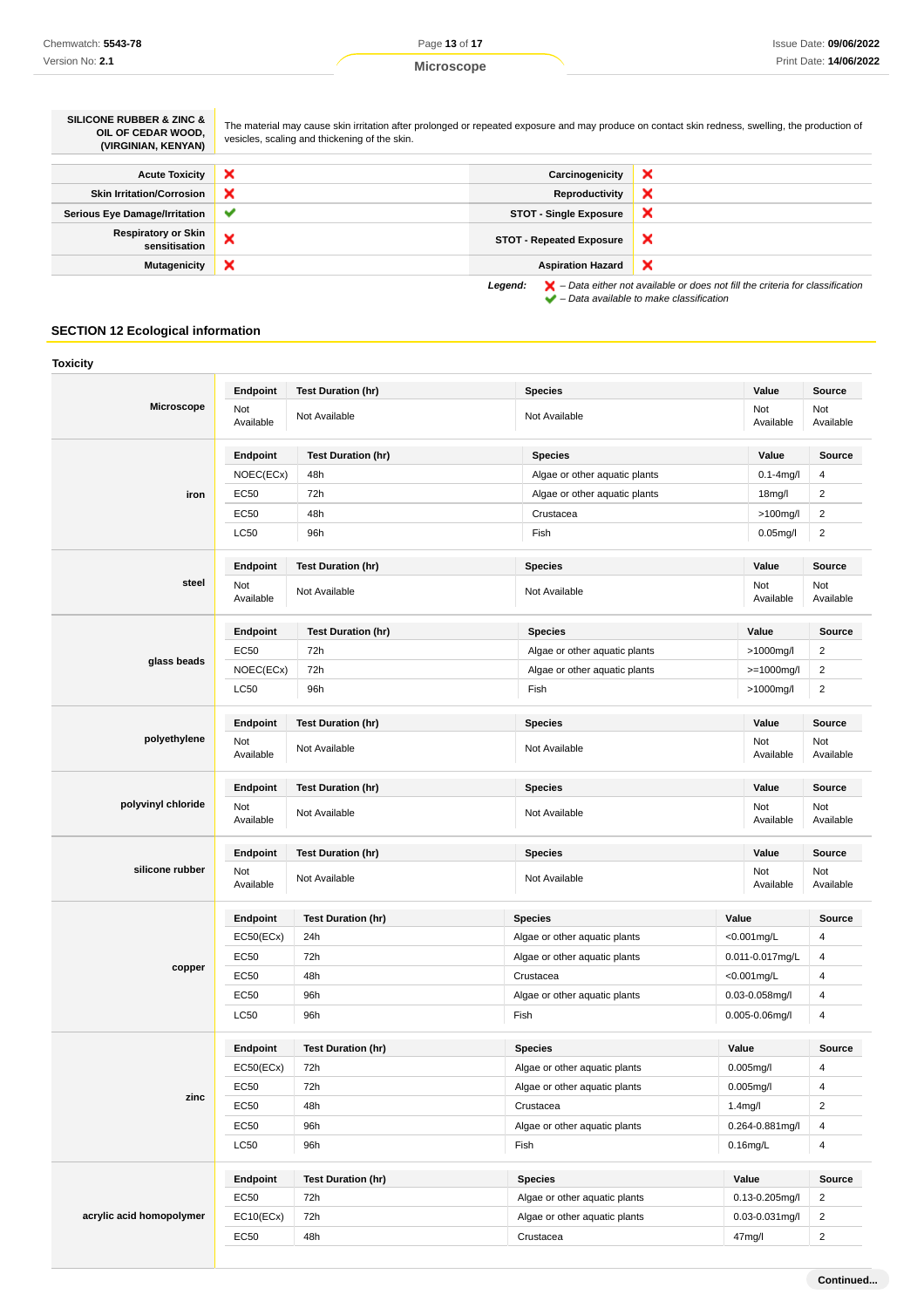| <b>SILICONE RUBBER &amp; ZINC &amp;</b><br>OIL OF CEDAR WOOD.<br>(VIRGINIAN, KENYAN) | The material may cause skin irritation after prolonged or repeated exposure and may produce on contact skin redness, swelling, the production of<br>vesicles, scaling and thickening of the skin. |                                 |                                                                                                                                                                     |
|--------------------------------------------------------------------------------------|---------------------------------------------------------------------------------------------------------------------------------------------------------------------------------------------------|---------------------------------|---------------------------------------------------------------------------------------------------------------------------------------------------------------------|
| <b>Acute Toxicity</b>                                                                | ×                                                                                                                                                                                                 | Carcinogenicity                 | ×                                                                                                                                                                   |
| <b>Skin Irritation/Corrosion</b>                                                     | ×                                                                                                                                                                                                 | Reproductivity                  | ×                                                                                                                                                                   |
| Serious Eye Damage/Irritation                                                        | $\checkmark$                                                                                                                                                                                      | <b>STOT - Single Exposure</b>   | ×                                                                                                                                                                   |
| <b>Respiratory or Skin</b><br>sensitisation                                          | ×                                                                                                                                                                                                 | <b>STOT - Repeated Exposure</b> | ×                                                                                                                                                                   |
| <b>Mutagenicity</b>                                                                  | ×                                                                                                                                                                                                 | <b>Aspiration Hazard</b>        | ×                                                                                                                                                                   |
|                                                                                      |                                                                                                                                                                                                   | Legend:                         | $\blacktriangleright$ - Data either not available or does not fill the criteria for classification<br>$\blacktriangleright$ – Data available to make classification |

# **SECTION 12 Ecological information**

|                          | Endpoint         | <b>Test Duration (hr)</b> | <b>Species</b>                | Value                | <b>Source</b>    |
|--------------------------|------------------|---------------------------|-------------------------------|----------------------|------------------|
| <b>Microscope</b>        | Not<br>Available | Not Available             | Not Available                 | Not<br>Available     | Not<br>Available |
|                          | Endpoint         | <b>Test Duration (hr)</b> | <b>Species</b>                | Value                | <b>Source</b>    |
|                          | NOEC(ECx)        | 48h                       | Algae or other aquatic plants | $0.1 - 4$ mg/l       | 4                |
| iron                     | EC50             | 72h                       | Algae or other aquatic plants | 18mg/l               | $\overline{2}$   |
|                          | <b>EC50</b>      | 48h                       | Crustacea                     | >100mg/l             | $\overline{2}$   |
|                          | LC50             | 96h                       | Fish                          | $0.05$ mg/l          | $\overline{2}$   |
|                          | Endpoint         | <b>Test Duration (hr)</b> | <b>Species</b>                | Value                | <b>Source</b>    |
| steel                    | Not<br>Available | Not Available             | Not Available                 | Not<br>Available     | Not<br>Available |
|                          | Endpoint         | <b>Test Duration (hr)</b> | <b>Species</b>                | Value                | Source           |
| glass beads              | <b>EC50</b>      | 72h                       | Algae or other aquatic plants | >1000mg/l            | $\overline{2}$   |
|                          | NOEC(ECx)        | 72h                       | Algae or other aquatic plants | $>= 1000$ mg/l       | $\overline{2}$   |
|                          | <b>LC50</b>      | 96h                       | Fish                          | >1000mg/l            | $\overline{2}$   |
|                          | Endpoint         | <b>Test Duration (hr)</b> | <b>Species</b>                | Value                | <b>Source</b>    |
| polyethylene             | Not<br>Available | Not Available             | Not Available                 | Not<br>Available     | Not<br>Available |
| polyvinyl chloride       | Endpoint         | <b>Test Duration (hr)</b> | <b>Species</b>                | Value                | Source           |
|                          | Not<br>Available | Not Available             | Not Available                 | Not<br>Available     | Not<br>Available |
|                          | Endpoint         | <b>Test Duration (hr)</b> | <b>Species</b>                | Value                |                  |
| silicone rubber          | Not<br>Available | Not Available             | Not Available                 | Not<br>Available     | Not<br>Available |
|                          | Endpoint         | <b>Test Duration (hr)</b> | <b>Species</b>                | Value                | Source           |
|                          | EC50(ECx)        | 24h                       | Algae or other aquatic plants | <0.001mg/L           | 4                |
|                          | EC50             | 72h                       | Algae or other aquatic plants | 0.011-0.017mg/L      | 4                |
| copper                   | EC50             | 48h                       | Crustacea                     | <0.001mg/L           | 4                |
|                          | <b>EC50</b>      | 96h                       | Algae or other aquatic plants | 0.03-0.058mg/l       | 4                |
|                          | LC50             | 96h                       | Fish                          | 0.005-0.06mg/l       | 4                |
|                          | Endpoint         | <b>Test Duration (hr)</b> | <b>Species</b>                | Value                | Source           |
|                          | EC50(ECx)        | 72h                       | Algae or other aquatic plants | 0.005mg/l            | $\overline{4}$   |
|                          | EC50             | 72h                       | Algae or other aquatic plants | 0.005mg/l            | $\overline{4}$   |
| zinc                     | EC50             | 48h                       | Crustacea                     | 1.4 <sub>mg</sub> /l | $\overline{2}$   |
|                          | EC50             | 96h                       | Algae or other aquatic plants | 0.264-0.881mg/l      | $\overline{4}$   |
|                          | <b>LC50</b>      | 96h                       | Fish                          | $0.16$ mg/L          | $\overline{4}$   |
|                          | Endpoint         | <b>Test Duration (hr)</b> | <b>Species</b>                | Value                | Source           |
|                          | EC50             | 72h                       | Algae or other aquatic plants | 0.13-0.205mg/l       | $\overline{2}$   |
| acrylic acid homopolymer | EC10(ECx)        | 72h                       | Algae or other aquatic plants | $0.03 - 0.031$ mg/l  | $\sqrt{2}$       |
|                          | EC50             | 48h                       | Crustacea                     | 47mg/l               | $\overline{2}$   |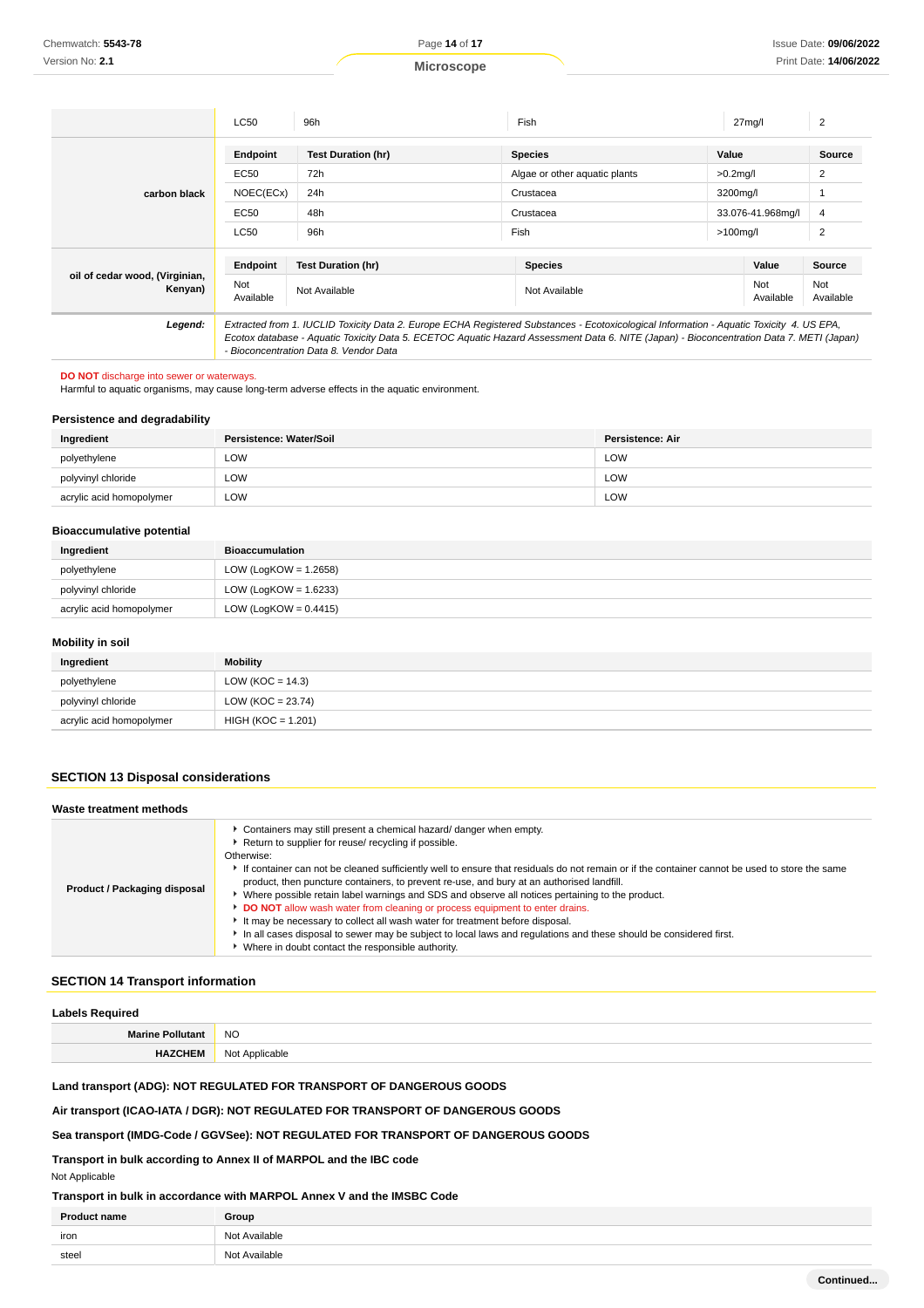|                                           | <b>LC50</b>      | 96h                                                                                                                                                                                                                                                                                                                            | Fish                          | 27 <sub>mq</sub> /l | $\overline{2}$   |
|-------------------------------------------|------------------|--------------------------------------------------------------------------------------------------------------------------------------------------------------------------------------------------------------------------------------------------------------------------------------------------------------------------------|-------------------------------|---------------------|------------------|
|                                           | Endpoint         | <b>Test Duration (hr)</b>                                                                                                                                                                                                                                                                                                      | <b>Species</b>                | Value               | Source           |
|                                           | EC50             | 72h                                                                                                                                                                                                                                                                                                                            | Algae or other aquatic plants | $>0.2$ mg/l         | 2                |
| carbon black                              | NOEC(ECx)        | 24h                                                                                                                                                                                                                                                                                                                            | Crustacea                     | 3200mg/l            |                  |
|                                           | EC50             | 48h                                                                                                                                                                                                                                                                                                                            | Crustacea                     | 33.076-41.968mg/l   | $\overline{4}$   |
|                                           | LC50             | 96h                                                                                                                                                                                                                                                                                                                            | Fish                          | $>100$ mg/l         | $\overline{2}$   |
|                                           | Endpoint         | <b>Test Duration (hr)</b>                                                                                                                                                                                                                                                                                                      | <b>Species</b>                | Value               | Source           |
| oil of cedar wood, (Virginian,<br>Kenyan) | Not<br>Available | Not Available                                                                                                                                                                                                                                                                                                                  | Not Available                 | Not<br>Available    | Not<br>Available |
| Legend:                                   |                  | Extracted from 1. IUCLID Toxicity Data 2. Europe ECHA Registered Substances - Ecotoxicological Information - Aquatic Toxicity 4. US EPA,<br>Ecotox database - Aquatic Toxicity Data 5. ECETOC Aquatic Hazard Assessment Data 6. NITE (Japan) - Bioconcentration Data 7. METI (Japan)<br>- Bioconcentration Data 8. Vendor Data |                               |                     |                  |

#### **DO NOT** discharge into sewer or waterways.

Harmful to aquatic organisms, may cause long-term adverse effects in the aquatic environment.

### **Persistence and degradability**

| Ingredient               | Persistence: Water/Soil | <b>Persistence: Air</b> |
|--------------------------|-------------------------|-------------------------|
| polyethylene             | LOW                     | LOW                     |
| polyvinyl chloride       | LOW                     | LOW                     |
| acrylic acid homopolymer | LOW                     | LOW                     |

#### **Bioaccumulative potential**

| Ingredient               | <b>Bioaccumulation</b>   |
|--------------------------|--------------------------|
| polyethylene             | LOW (LogKOW = $1.2658$ ) |
| polyvinyl chloride       | LOW (LogKOW = $1.6233$ ) |
| acrylic acid homopolymer | LOW (LogKOW = $0.4415$ ) |

### **Mobility in soil**

| Ingredient               | <b>Mobility</b>       |
|--------------------------|-----------------------|
| polyethylene             | LOW (KOC = $14.3$ )   |
| polyvinyl chloride       | LOW ( $KOC = 23.74$ ) |
| acrylic acid homopolymer | $HIGH (KOC = 1.201)$  |

# **SECTION 13 Disposal considerations**

| Waste treatment methods      |                                                                                                                                                                                                                                                                                                                                                                                                                                                                                                                                                                                                                                                                                                                                                                                                                                          |
|------------------------------|------------------------------------------------------------------------------------------------------------------------------------------------------------------------------------------------------------------------------------------------------------------------------------------------------------------------------------------------------------------------------------------------------------------------------------------------------------------------------------------------------------------------------------------------------------------------------------------------------------------------------------------------------------------------------------------------------------------------------------------------------------------------------------------------------------------------------------------|
| Product / Packaging disposal | • Containers may still present a chemical hazard/ danger when empty.<br>Return to supplier for reuse/ recycling if possible.<br>Otherwise:<br>If container can not be cleaned sufficiently well to ensure that residuals do not remain or if the container cannot be used to store the same<br>product, then puncture containers, to prevent re-use, and bury at an authorised landfill.<br>▶ Where possible retain label warnings and SDS and observe all notices pertaining to the product.<br>DO NOT allow wash water from cleaning or process equipment to enter drains.<br>It may be necessary to collect all wash water for treatment before disposal.<br>In all cases disposal to sewer may be subject to local laws and regulations and these should be considered first.<br>• Where in doubt contact the responsible authority. |

### **SECTION 14 Transport information**

| <b>Labels Required</b>  |                |
|-------------------------|----------------|
| <b>Marine Pollutant</b> | <b>NO</b>      |
| <b>HAZCHEM</b>          | Not Applicable |

# **Land transport (ADG): NOT REGULATED FOR TRANSPORT OF DANGEROUS GOODS**

**Air transport (ICAO-IATA / DGR): NOT REGULATED FOR TRANSPORT OF DANGEROUS GOODS**

# **Sea transport (IMDG-Code / GGVSee): NOT REGULATED FOR TRANSPORT OF DANGEROUS GOODS**

**Transport in bulk according to Annex II of MARPOL and the IBC code**

### Not Applicable

# **Transport in bulk in accordance with MARPOL Annex V and the IMSBC Code**

| <b>Product name</b> | Group         |
|---------------------|---------------|
| iron                | Not Available |
| steel               | Not Available |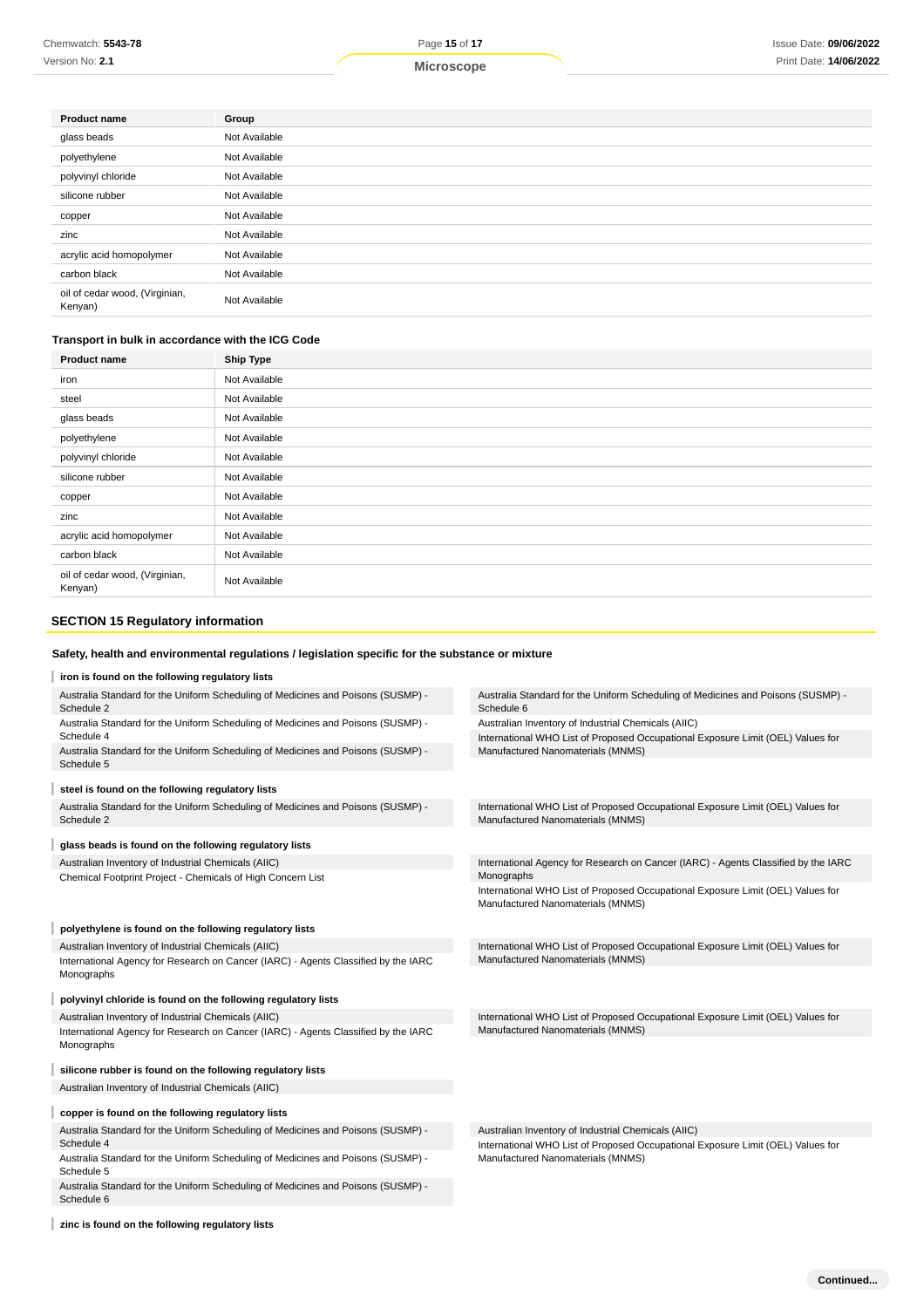Version No: **2.1**

**Microscope**

| <b>Product name</b>                       | Group         |
|-------------------------------------------|---------------|
| glass beads                               | Not Available |
| polyethylene                              | Not Available |
| polyvinyl chloride                        | Not Available |
| silicone rubber                           | Not Available |
| copper                                    | Not Available |
| zinc                                      | Not Available |
| acrylic acid homopolymer                  | Not Available |
| carbon black                              | Not Available |
| oil of cedar wood, (Virginian,<br>Kenyan) | Not Available |

### **Transport in bulk in accordance with the ICG Code**

| <b>Product name</b>                       | <b>Ship Type</b> |
|-------------------------------------------|------------------|
| iron                                      | Not Available    |
| steel                                     | Not Available    |
| glass beads                               | Not Available    |
| polyethylene                              | Not Available    |
| polyvinyl chloride                        | Not Available    |
| silicone rubber                           | Not Available    |
| copper                                    | Not Available    |
| zinc                                      | Not Available    |
| acrylic acid homopolymer                  | Not Available    |
| carbon black                              | Not Available    |
| oil of cedar wood, (Virginian,<br>Kenyan) | Not Available    |

# **SECTION 15 Regulatory information**

# **Safety, health and environmental regulations / legislation specific for the substance or mixture**

| iron is found on the following regulatory lists                                                                    |                                                                                                                      |
|--------------------------------------------------------------------------------------------------------------------|----------------------------------------------------------------------------------------------------------------------|
| Australia Standard for the Uniform Scheduling of Medicines and Poisons (SUSMP) -<br>Schedule 2                     | Australia Standard for the Uniform Scheduling of Medicines and Poisons (SUSMP) -<br>Schedule 6                       |
| Australia Standard for the Uniform Scheduling of Medicines and Poisons (SUSMP) -                                   | Australian Inventory of Industrial Chemicals (AIIC)                                                                  |
| Schedule 4                                                                                                         | International WHO List of Proposed Occupational Exposure Limit (OEL) Values for                                      |
| Australia Standard for the Uniform Scheduling of Medicines and Poisons (SUSMP) -<br>Schedule 5                     | Manufactured Nanomaterials (MNMS)                                                                                    |
| steel is found on the following regulatory lists                                                                   |                                                                                                                      |
| Australia Standard for the Uniform Scheduling of Medicines and Poisons (SUSMP) -<br>Schedule 2                     | International WHO List of Proposed Occupational Exposure Limit (OEL) Values for<br>Manufactured Nanomaterials (MNMS) |
| glass beads is found on the following regulatory lists                                                             |                                                                                                                      |
| Australian Inventory of Industrial Chemicals (AIIC)<br>Chemical Footprint Project - Chemicals of High Concern List | International Agency for Research on Cancer (IARC) - Agents Classified by the IARC<br>Monographs                     |
|                                                                                                                    | International WHO List of Proposed Occupational Exposure Limit (OEL) Values for<br>Manufactured Nanomaterials (MNMS) |
| polyethylene is found on the following regulatory lists                                                            |                                                                                                                      |
| Australian Inventory of Industrial Chemicals (AIIC)                                                                | International WHO List of Proposed Occupational Exposure Limit (OEL) Values for                                      |
| International Agency for Research on Cancer (IARC) - Agents Classified by the IARC<br>Monographs                   | Manufactured Nanomaterials (MNMS)                                                                                    |
| polyvinyl chloride is found on the following regulatory lists                                                      |                                                                                                                      |
| Australian Inventory of Industrial Chemicals (AIIC)                                                                | International WHO List of Proposed Occupational Exposure Limit (OEL) Values for                                      |
| International Agency for Research on Cancer (IARC) - Agents Classified by the IARC<br>Monographs                   | Manufactured Nanomaterials (MNMS)                                                                                    |
|                                                                                                                    |                                                                                                                      |
| silicone rubber is found on the following regulatory lists                                                         |                                                                                                                      |
| Australian Inventory of Industrial Chemicals (AIIC)                                                                |                                                                                                                      |
| copper is found on the following regulatory lists                                                                  |                                                                                                                      |
| Australia Standard for the Uniform Scheduling of Medicines and Poisons (SUSMP) -                                   | Australian Inventory of Industrial Chemicals (AIIC)                                                                  |
| Schedule 4                                                                                                         | International WHO List of Proposed Occupational Exposure Limit (OEL) Values for                                      |
| Australia Standard for the Uniform Scheduling of Medicines and Poisons (SUSMP) -<br>Schedule 5                     | Manufactured Nanomaterials (MNMS)                                                                                    |
| Australia Standard for the Uniform Scheduling of Medicines and Poisons (SUSMP) -<br>Schedule 6                     |                                                                                                                      |

### **zinc is found on the following regulatory lists**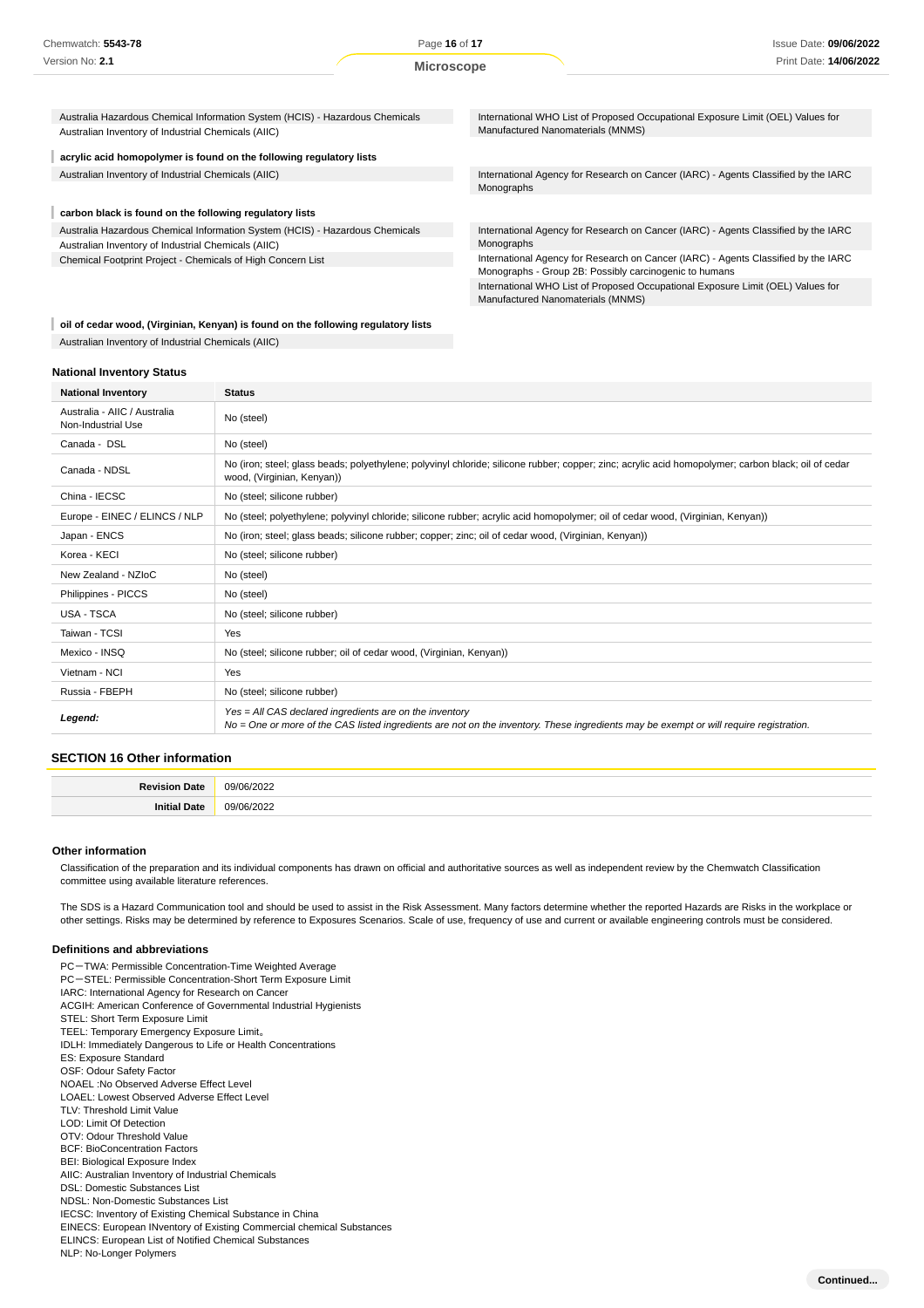Australia Hazardous Chemical Information System (HCIS) - Hazardous Chemicals Australian Inventory of Industrial Chemicals (AIIC)

#### I **acrylic acid homopolymer is found on the following regulatory lists**

# **carbon black is found on the following regulatory lists**

Australia Hazardous Chemical Information System (HCIS) - Hazardous Chemicals Australian Inventory of Industrial Chemicals (AIIC) Chemical Footprint Project - Chemicals of High Concern List

International WHO List of Proposed Occupational Exposure Limit (OEL) Values for Manufactured Nanomaterials (MNMS)

Australian Inventory of Industrial Chemicals (AIIC) International Agency for Research on Cancer (IARC) - Agents Classified by the IARC Monographs

> International Agency for Research on Cancer (IARC) - Agents Classified by the IARC Monographs

> International Agency for Research on Cancer (IARC) - Agents Classified by the IARC Monographs - Group 2B: Possibly carcinogenic to humans

International WHO List of Proposed Occupational Exposure Limit (OEL) Values for Manufactured Nanomaterials (MNMS)

### **oil of cedar wood, (Virginian, Kenyan) is found on the following regulatory lists** Australian Inventory of Industrial Chemicals (AIIC)

#### **National Inventory Status**

| <b>National Inventory</b>                          | <b>Status</b>                                                                                                                                                                                     |
|----------------------------------------------------|---------------------------------------------------------------------------------------------------------------------------------------------------------------------------------------------------|
| Australia - AIIC / Australia<br>Non-Industrial Use | No (steel)                                                                                                                                                                                        |
| Canada - DSL                                       | No (steel)                                                                                                                                                                                        |
| Canada - NDSL                                      | No (iron; steel; glass beads; polyethylene; polyvinyl chloride; silicone rubber; copper; zinc; acrylic acid homopolymer; carbon black; oil of cedar<br>wood, (Virginian, Kenyan))                 |
| China - IECSC                                      | No (steel; silicone rubber)                                                                                                                                                                       |
| Europe - EINEC / ELINCS / NLP                      | No (steel; polyethylene; polyvinyl chloride; silicone rubber; acrylic acid homopolymer; oil of cedar wood, (Virginian, Kenyan))                                                                   |
| Japan - ENCS                                       | No (iron; steel; glass beads; silicone rubber; copper; zinc; oil of cedar wood, (Virginian, Kenyan))                                                                                              |
| Korea - KECI                                       | No (steel; silicone rubber)                                                                                                                                                                       |
| New Zealand - NZIoC                                | No (steel)                                                                                                                                                                                        |
| Philippines - PICCS                                | No (steel)                                                                                                                                                                                        |
| USA - TSCA                                         | No (steel; silicone rubber)                                                                                                                                                                       |
| Taiwan - TCSI                                      | Yes                                                                                                                                                                                               |
| Mexico - INSQ                                      | No (steel; silicone rubber; oil of cedar wood, (Virginian, Kenyan))                                                                                                                               |
| Vietnam - NCI                                      | Yes                                                                                                                                                                                               |
| Russia - FBEPH                                     | No (steel; silicone rubber)                                                                                                                                                                       |
| Legend:                                            | Yes = All CAS declared ingredients are on the inventory<br>No = One or more of the CAS listed ingredients are not on the inventory. These ingredients may be exempt or will require registration. |

### **SECTION 16 Other information**

| Jate | $\sim$<br>001<br>כו וכיו<br>. |
|------|-------------------------------|
| Jate | na/r<br>، ה ה<br>ンロン          |

#### **Other information**

Classification of the preparation and its individual components has drawn on official and authoritative sources as well as independent review by the Chemwatch Classification committee using available literature references.

The SDS is a Hazard Communication tool and should be used to assist in the Risk Assessment. Many factors determine whether the reported Hazards are Risks in the workplace or other settings. Risks may be determined by reference to Exposures Scenarios. Scale of use, frequency of use and current or available engineering controls must be considered.

#### **Definitions and abbreviations**

PC-TWA: Permissible Concentration-Time Weighted Average PC-STEL: Permissible Concentration-Short Term Exposure Limit IARC: International Agency for Research on Cancer ACGIH: American Conference of Governmental Industrial Hygienists STEL: Short Term Exposure Limit TEEL: Temporary Emergency Exposure Limit。 IDLH: Immediately Dangerous to Life or Health Concentrations ES: Exposure Standard OSF: Odour Safety Factor NOAEL :No Observed Adverse Effect Level LOAEL: Lowest Observed Adverse Effect Level TLV: Threshold Limit Value LOD: Limit Of Detection OTV: Odour Threshold Value BCF: BioConcentration Factors BEI: Biological Exposure Index AIIC: Australian Inventory of Industrial Chemicals DSL: Domestic Substances List NDSL: Non-Domestic Substances List IECSC: Inventory of Existing Chemical Substance in China EINECS: European INventory of Existing Commercial chemical Substances ELINCS: European List of Notified Chemical Substances NLP: No-Longer Polymers